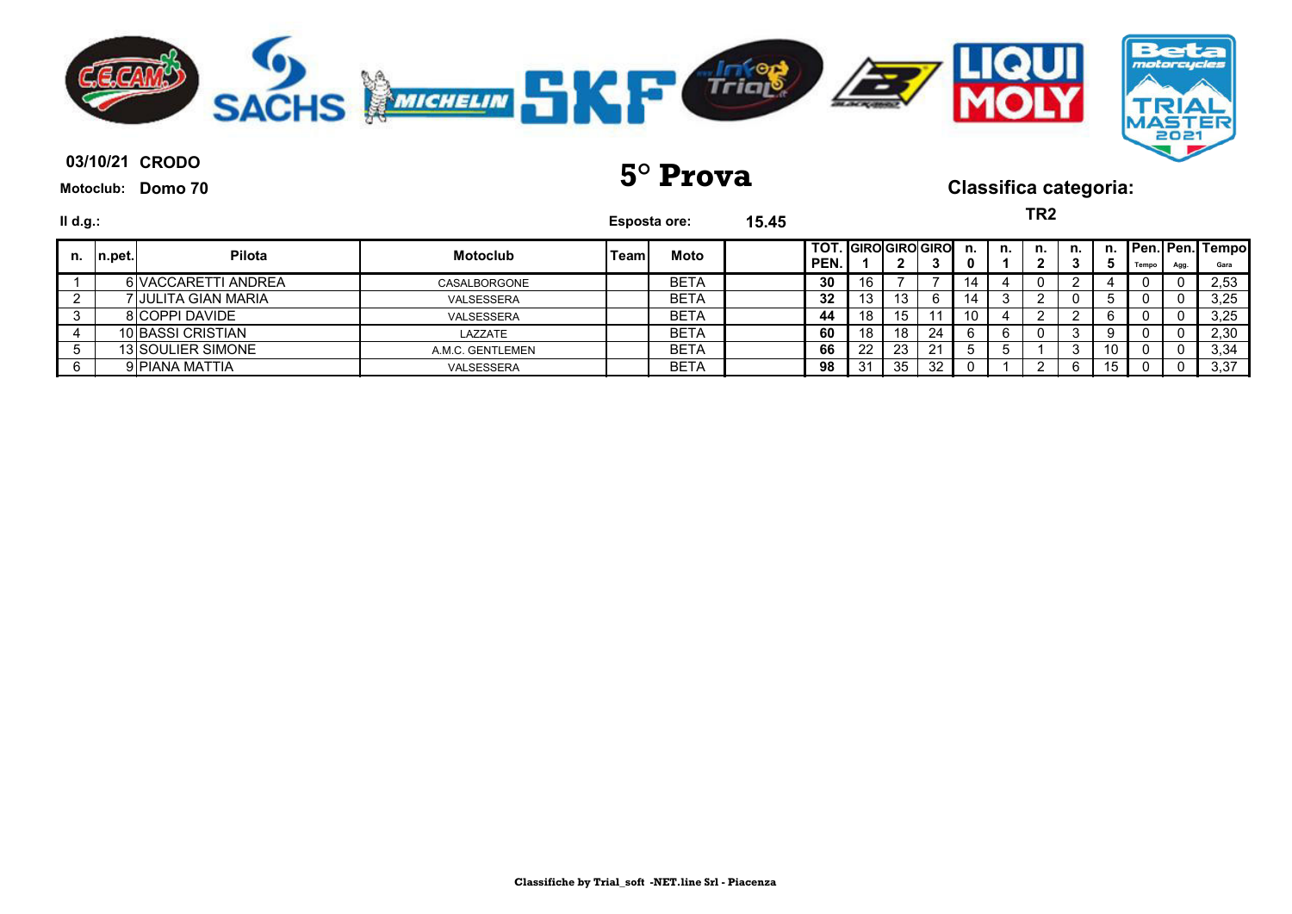

**03/10/21 5° Prova Classifica categoria:**

**TR2**

| $II$ d.g.: |         |                     |                  | <b>Esposta ore:</b> |             | 15.45 | IKZ<br>I TOT. GIRO GIRO GIRO<br>Pen. Pen. Tempo |     |               |     |    |    |          |    |         |       |      |      |
|------------|---------|---------------------|------------------|---------------------|-------------|-------|-------------------------------------------------|-----|---------------|-----|----|----|----------|----|---------|-------|------|------|
| n.         | ∣n.pet. | <b>Pilota</b>       | <b>Motoclub</b>  | Teaml               | Moto        |       | PEN.                                            |     | ◠<br><u>.</u> |     | n. | n. | n.<br>ŋ  | n. | n.<br>Ð | Tempo | Agg. | Gara |
|            |         | 6 VACCARETTI ANDREA | CASALBORGONE     |                     | <b>BETA</b> |       | 30                                              | 16. |               |     | 4  |    | 0.       |    |         |       |      | 2,53 |
|            |         | 7 JULITA GIAN MARIA | VALSESSERA       |                     | <b>BETA</b> |       | 32                                              | د ا | 13            |     | 4  |    | <u>.</u> |    |         |       |      | 3,25 |
|            |         | 8 COPPI DAVIDE      | VALSESSERA       |                     | <b>BETA</b> |       | 44                                              | 18  | 15            |     | 10 |    | ົ        |    |         |       |      | 3,25 |
|            |         | 10 BASSI CRISTIAN   | LAZZATE          |                     | <b>BETA</b> |       | 60                                              | 18  | 18            | -24 |    | 6. | 0        | 3  |         |       |      | 2,30 |
|            |         | 13 SOULIER SIMONE   | A.M.C. GENTLEMEN |                     | <b>BETA</b> |       | 66                                              | 22  | 23            | -21 |    |    |          | 3  | -10     |       |      | 3,34 |
|            |         | 9 PIANA MATTIA      | VALSESSERA       |                     | <b>BETA</b> |       | 98                                              | 31  | 35            | 32  |    |    |          |    |         |       |      | 3,37 |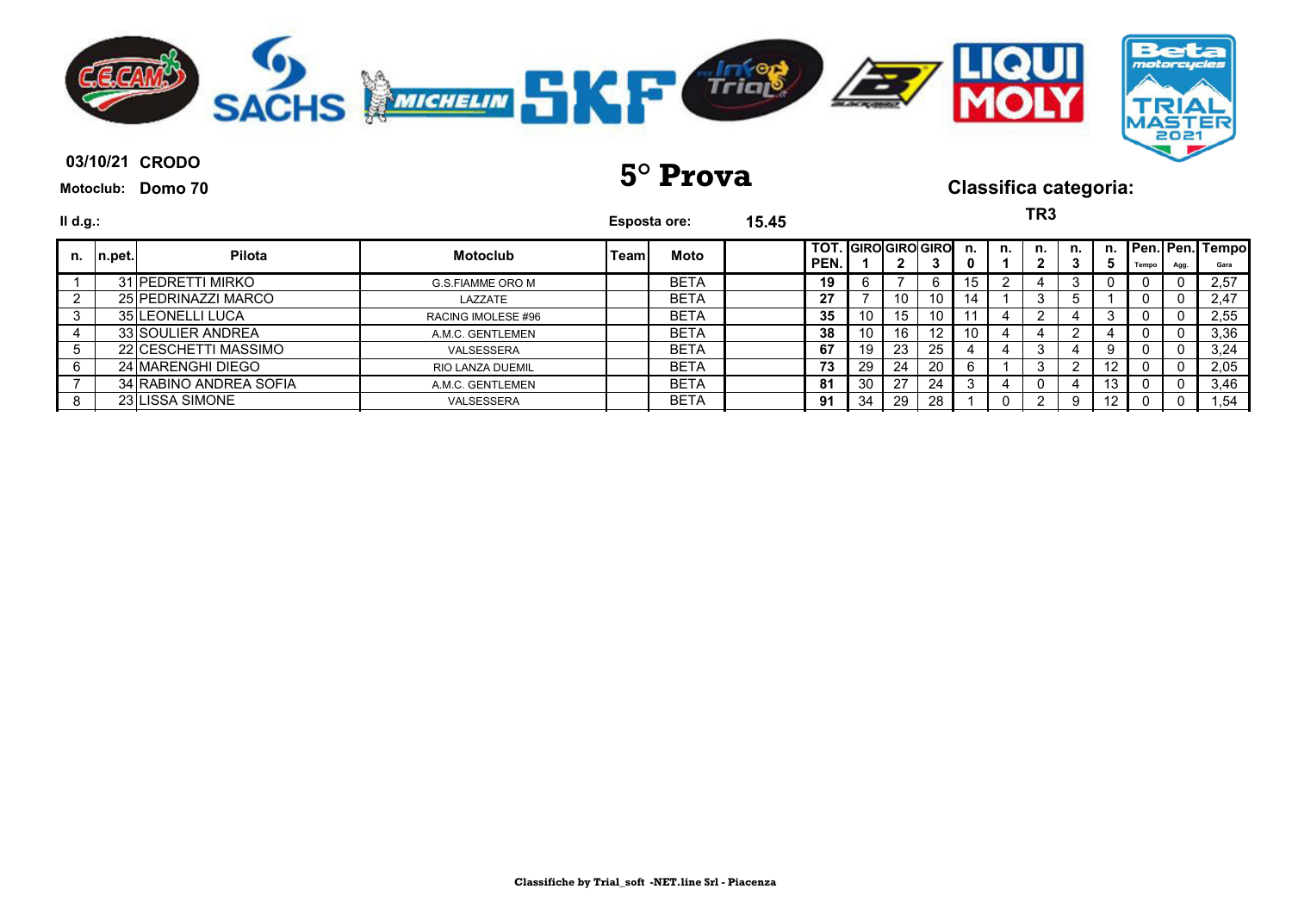

| II d.g.: |         |                          |                         | <b>Esposta ore:</b> |             | 15.45 | TR3<br>n. Pen. Pen. Tempo<br><b>TOT.</b> GIRO GIRO GIRO |    |    |                   |     |    |    |  |         |       |      |      |
|----------|---------|--------------------------|-------------------------|---------------------|-------------|-------|---------------------------------------------------------|----|----|-------------------|-----|----|----|--|---------|-------|------|------|
| n.       | In.pet. | Pilota                   | <b>Motoclub</b>         | Teaml               | Moto        |       | PEN.                                                    |    |    | 3                 | n.  | n. | n. |  | b       | Tempo | Agg. | Gara |
|          |         | 31 PEDRETTI MIRKO        | <b>G.S.FIAMME ORO M</b> |                     | <b>BETA</b> |       | 19                                                      |    |    | 6                 | 15  |    |    |  |         | υ     |      | 2,57 |
|          |         | 25 PEDRINAZZI MARCO      | LAZZATE                 |                     | <b>BETA</b> |       | 27                                                      |    | 10 | 10                | 14. |    |    |  |         |       |      | 2,47 |
|          |         | <b>35 ILEONELLI LUCA</b> | RACING IMOLESE #96      |                     | <b>BETA</b> |       | 35                                                      | 10 | 15 | 10                |     |    |    |  |         |       |      | 2,55 |
|          |         | 33 SOULIER ANDREA        | A.M.C. GENTLEMEN        |                     | <b>BETA</b> |       | 38                                                      | 10 | 16 | $12 \overline{ }$ | 10  |    |    |  |         |       |      | 3,36 |
|          |         | 22 CESCHETTI MASSIMO     | VALSESSERA              |                     | <b>BETA</b> |       | 67                                                      | 19 | 23 | 25                |     |    |    |  |         |       |      | 3,24 |
|          |         | 24 MARENGHI DIEGO        | <b>RIO LANZA DUEMIL</b> |                     | <b>BETA</b> |       | 73                                                      | 29 | 24 | 20                |     |    | 3  |  | $12 \,$ |       |      | 2,05 |
|          |         | 34 RABINO ANDREA SOFIA   | A.M.C. GENTLEMEN        |                     | <b>BETA</b> |       | 81                                                      | 30 | 27 | 24                |     |    | U  |  | 13      |       |      | 3,46 |
| 8        |         | 23 LISSA SIMONE          | VALSESSERA              |                     | <b>BETA</b> |       | 91                                                      | 34 | 29 | 28                |     |    |    |  | 12      |       |      | 1,54 |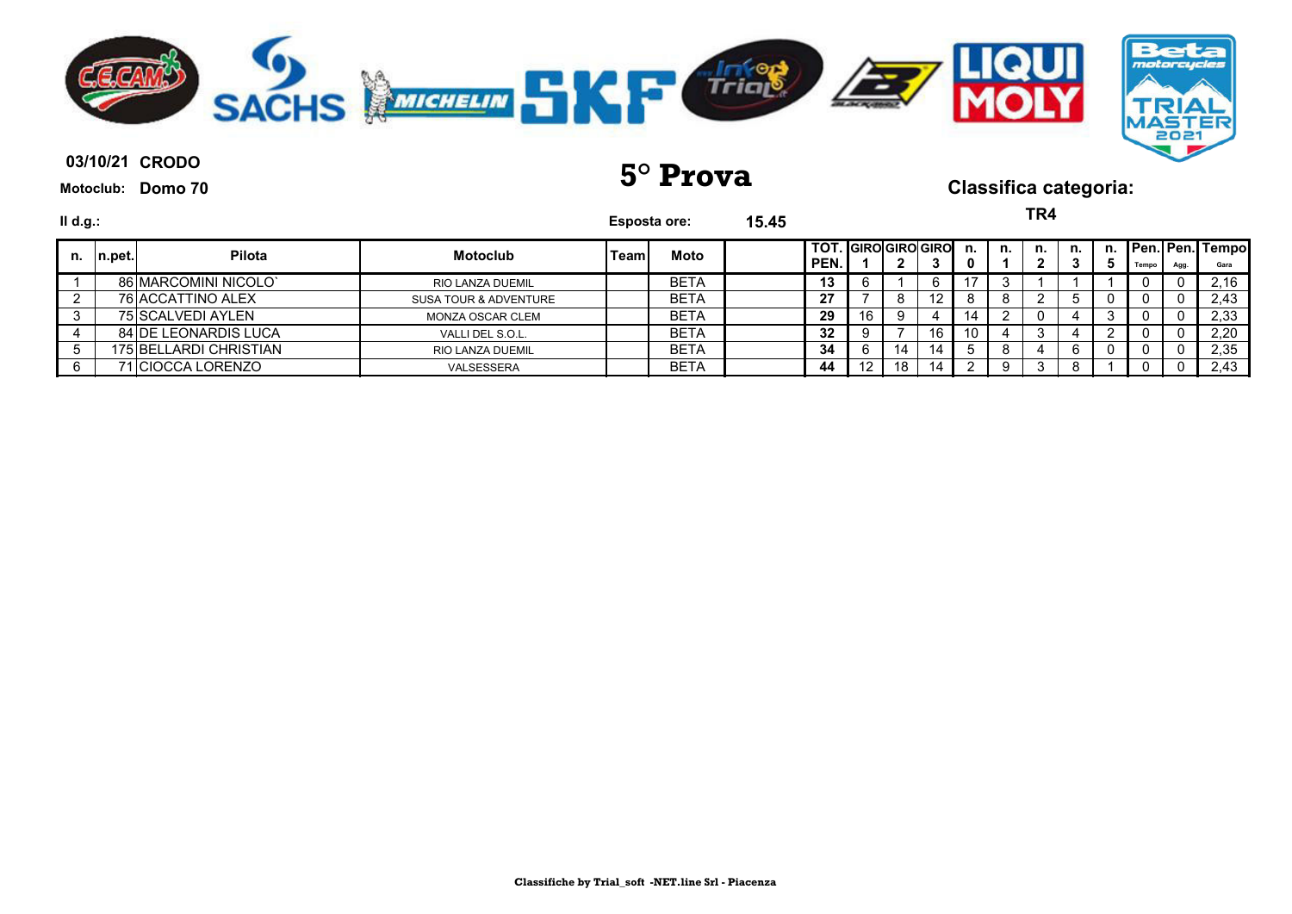

**03/10/21 5° Prova Classifica categoria:**

**TR4**

| II d.g.: |         |                             |                                  |              | Esposta ore: | 15.45 |                                |    |    |    |         |    | '''                         |    |    |       |     |                                |
|----------|---------|-----------------------------|----------------------------------|--------------|--------------|-------|--------------------------------|----|----|----|---------|----|-----------------------------|----|----|-------|-----|--------------------------------|
| n.       | In.pet. | Pilota                      | <b>Motoclub</b>                  | <b>'Team</b> | Moto         |       | I TOT. IGIROIGIROIGIRO<br>PEN. |    |    |    | n.<br>0 | n. | n.<br>$\mathbf{2}^{\prime}$ | n. | n. | Tempo | Agg | <b>Pen. Pen. Tempo</b><br>Gara |
|          |         | 86 MARCOMINI NICOLO'        | <b>RIO LANZA DUEMIL</b>          |              | <b>BETA</b>  |       | 13                             | 6  |    |    |         |    |                             |    |    |       |     | 2,16                           |
|          |         | 76 ACCATTINO ALEX           | <b>SUSA TOUR &amp; ADVENTURE</b> |              | <b>BETA</b>  |       | -27                            |    | 8  | 12 |         |    |                             |    |    |       |     | 2,43                           |
|          |         | 75 SCALVEDI AYLEN           | MONZA OSCAR CLEM                 |              | <b>BETA</b>  |       | 29                             | 16 | -9 |    | 14      |    | 0                           |    |    | - 0   |     | 2,33                           |
|          |         | <b>84 DE LEONARDIS LUCA</b> | VALLI DEL S.O.L.                 |              | <b>BETA</b>  |       | 32                             | 9  |    | 16 | 10      |    | J                           |    |    |       |     | 2,20                           |
|          |         | 175 BELLARDI CHRISTIAN      | <b>RIO LANZA DUEMIL</b>          |              | <b>BETA</b>  |       | -34                            | 6  | 14 | 14 |         |    |                             | 6  |    |       |     | 2,35                           |
|          |         | '1 ICIOCCA LORENZO          | VALSESSERA                       |              | <b>BETA</b>  |       | 44                             | 12 | 18 | 14 |         |    |                             | O  |    |       |     | 2,43                           |
|          |         |                             |                                  |              |              |       |                                |    |    |    |         |    |                             |    |    |       |     |                                |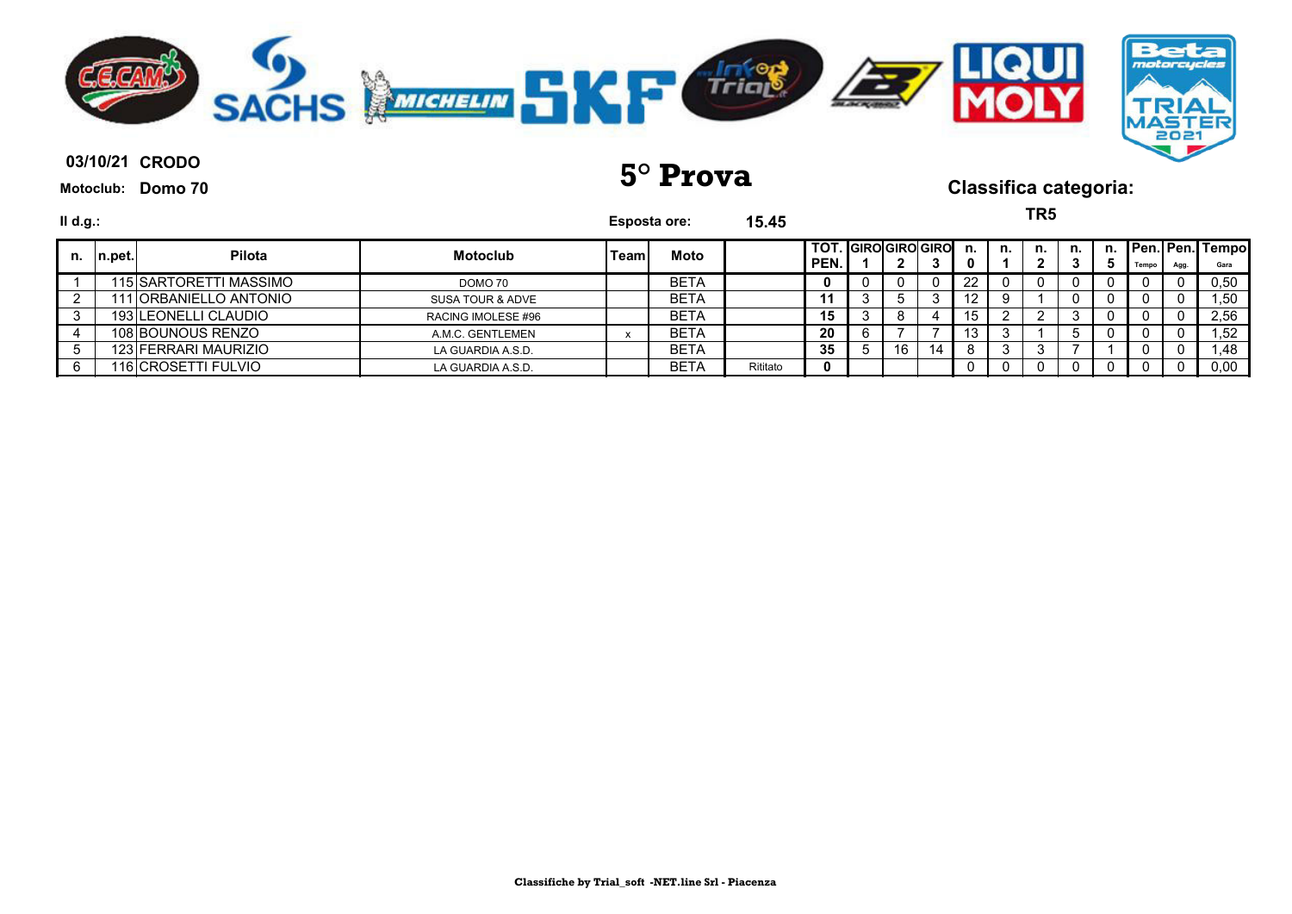

| II d.g.: |            |                        |                    | <b>Esposta ore:</b> |             | 15.45    |                             |    |    |                 |    | TR <sub>5</sub> |    |         |       |      |                         |
|----------|------------|------------------------|--------------------|---------------------|-------------|----------|-----------------------------|----|----|-----------------|----|-----------------|----|---------|-------|------|-------------------------|
|          | n. In.pet. | <b>Pilota</b>          | <b>Motoclub</b>    | Teaml               | Moto        |          | TOT. GIROGIROGIRO<br>l PEN. |    | 3  | n.              | n. | n.              | n. | n.<br>Ð | Tempo | Agg. | Pen. Pen. Tempo<br>Gara |
|          |            | 115 SARTORETTI MASSIMO | DOMO 70            |                     | <b>BETA</b> |          | 0                           |    |    | 22              |    |                 |    |         |       | 0    | 0,50                    |
|          |            | 111 ORBANIELLO ANTONIO | SUSA TOUR & ADVE   |                     | <b>BETA</b> |          | 11                          |    | 3  | 12 <sup>°</sup> |    |                 | 0  |         |       | 0    | 1,50                    |
|          |            | 193 LEONELLI CLAUDIO   | RACING IMOLESE #96 |                     | <b>BETA</b> |          | 15                          |    | 4  | 15              |    |                 | J  |         |       |      | 2,56                    |
|          |            | 108 BOUNOUS RENZO      | A.M.C. GENTLEMEN   |                     | <b>BETA</b> |          | 20                          |    |    | 13              |    |                 | G. |         |       | 0    | 1,52                    |
|          |            | 123 FERRARI MAURIZIO   | LA GUARDIA A.S.D.  |                     | <b>BETA</b> |          | 35                          | 16 | 14 |                 |    | $\cdot$         |    |         |       | 0    | 1,48                    |
|          |            | 116 CROSETTI FULVIO    | LA GUARDIA A.S.D.  |                     | <b>BETA</b> | Rititato | $\bf{0}$                    |    |    |                 |    |                 |    |         |       |      | 0,00                    |
|          |            |                        |                    |                     |             |          |                             |    |    |                 |    |                 |    |         |       |      |                         |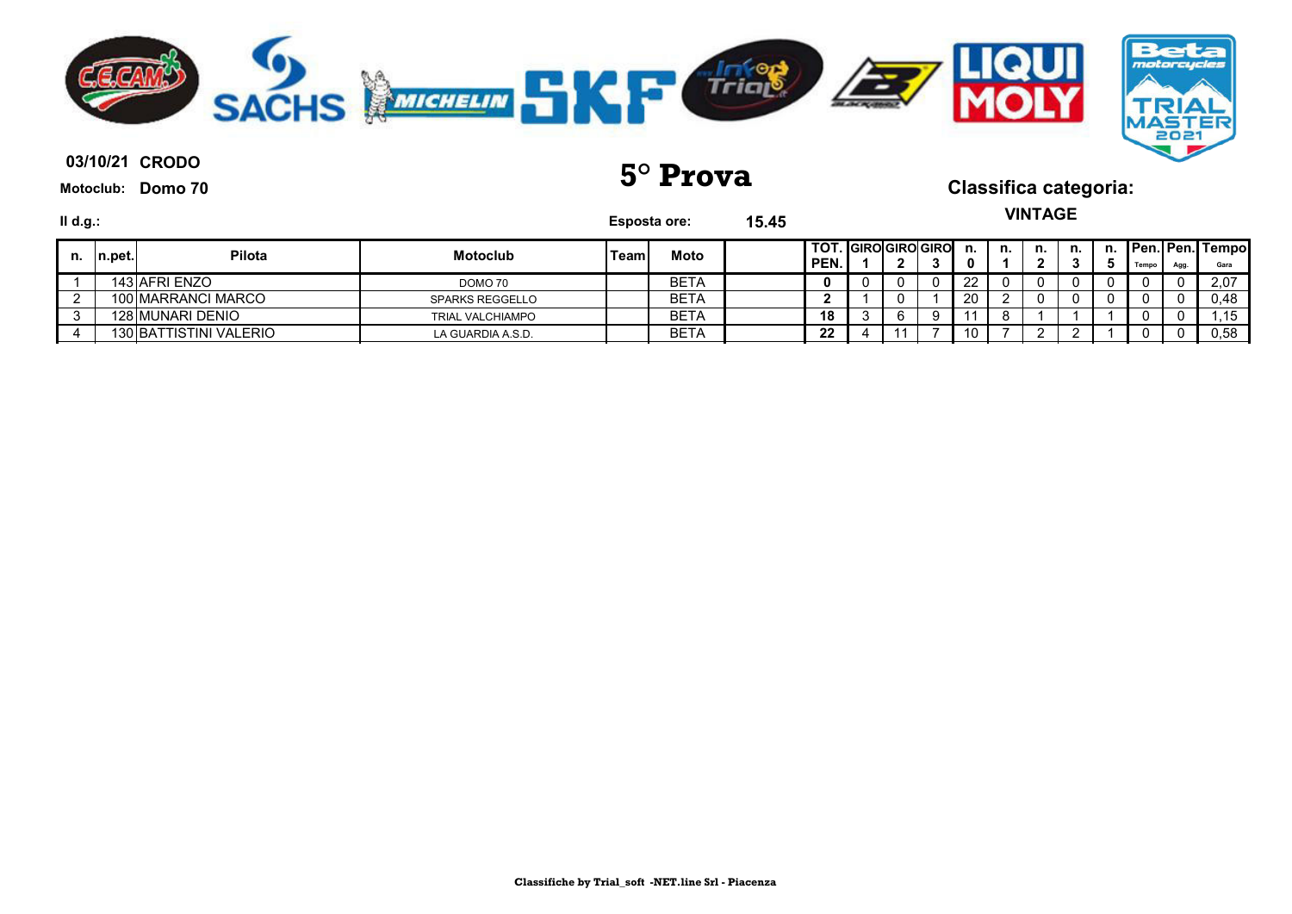

| Ⅱ d.g.: |          |                        |                         |       | <b>Esposta ore:</b> | 15.45 |                                       |  |   |     |    | <b>VINTAGE</b> |    |       |      |                                 |
|---------|----------|------------------------|-------------------------|-------|---------------------|-------|---------------------------------------|--|---|-----|----|----------------|----|-------|------|---------------------------------|
| n.      | In.pet.l | <b>Pilota</b>          | <b>Motoclub</b>         | Teaml | Moto                |       | I TOT. IGIROIGIROIGIRO<br><b>PEN.</b> |  |   | n.  | n. | n.             | n. | Tempo | Agg. | <b>Pen. Pen. Tempol</b><br>Gara |
|         |          | 143 AFRI ENZO          | DOMO 70                 |       | BETA                |       |                                       |  |   | 22  |    |                |    |       |      | 2,07                            |
|         |          | 100 MARRANCI MARCO     | <b>SPARKS REGGELLO</b>  |       | BETA                |       |                                       |  |   | 20  |    |                |    |       |      | 0,48                            |
|         |          | 128 MUNARI DENIO       | <b>TRIAL VALCHIAMPO</b> |       | <b>BETA</b>         |       | 18                                    |  | Q |     |    |                |    |       |      | .15                             |
|         |          | 130 BATTISTINI VALERIO | LA GUARDIA A.S.D.       |       | BETA                |       | 22                                    |  |   | 10. |    |                |    |       |      | 0,58                            |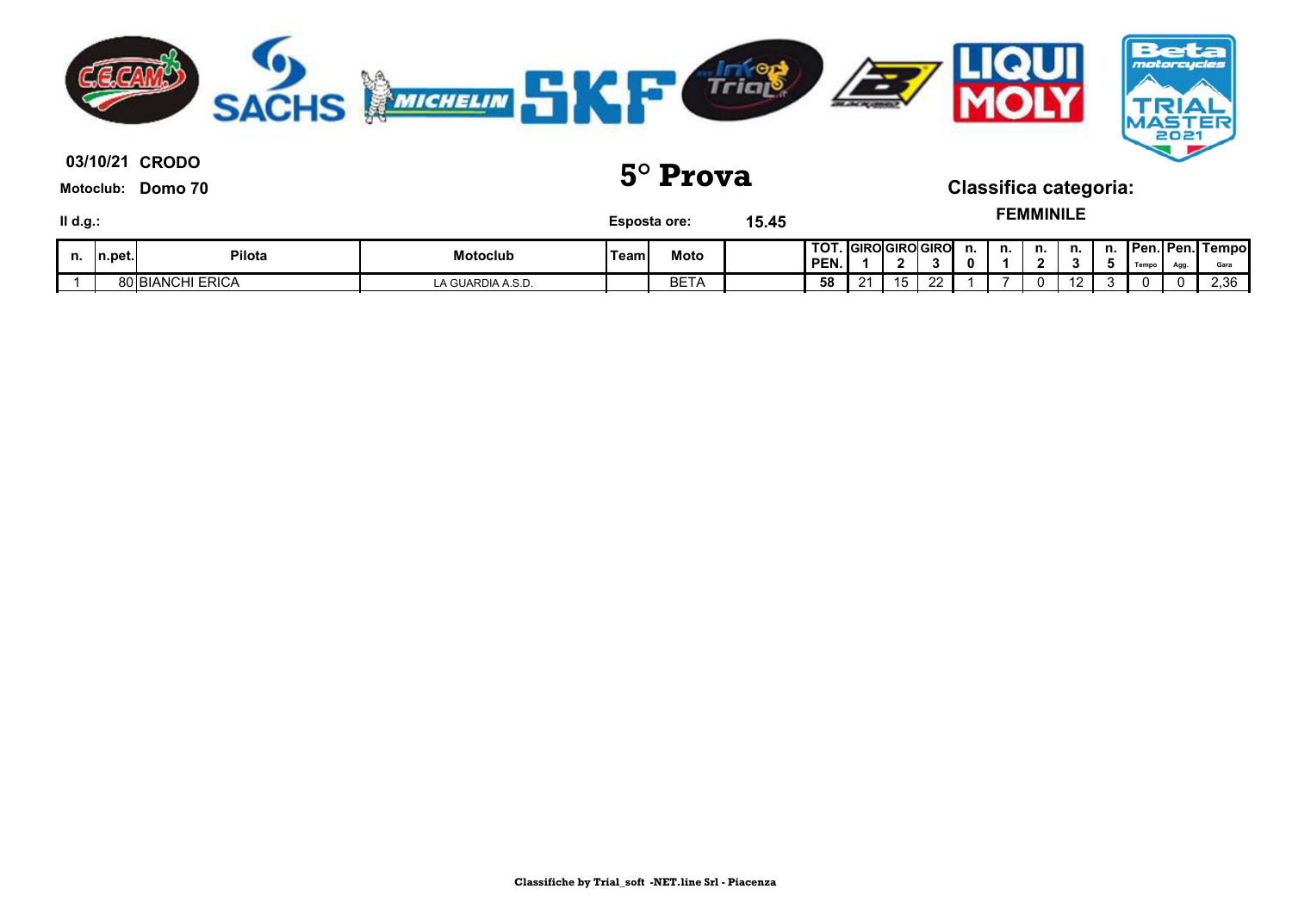

**03/10/21 5° Prova Classifica categoria:**

**FEMMINILE**

| II d.g.: |                                       |                         |                   |             | <b>Esposta ore:</b> | 15.45 |                                  |    |             |         |    | <b>EMMINILE</b>                |                   |    |                                    |     |               |
|----------|---------------------------------------|-------------------------|-------------------|-------------|---------------------|-------|----------------------------------|----|-------------|---------|----|--------------------------------|-------------------|----|------------------------------------|-----|---------------|
| n.       | $\mathsf{In}.\mathsf{pet}.\mathsf{I}$ | Pilota                  | Motoclub          | <b>Team</b> | Moto                |       | <b>TOT.</b> GIROGIROGIRO<br>PEN. | -  |             | n.<br>0 | n. | n.<br>$\overline{\phantom{a}}$ | n.                | n. | <b>IPen.IPen.I</b><br><b>Tempr</b> | Agg | Tempo<br>Gara |
|          |                                       | <b>80 BIANCHI ERICA</b> | LA GUARDIA A.S.D. |             | BETA                |       | 58                               | 15 | $\sim$<br>∸ |         |    |                                | $\sqrt{2}$<br>14. |    |                                    |     | 2,36          |

**Classifiche by Trial\_soft -NET.line Srl - Piacenza**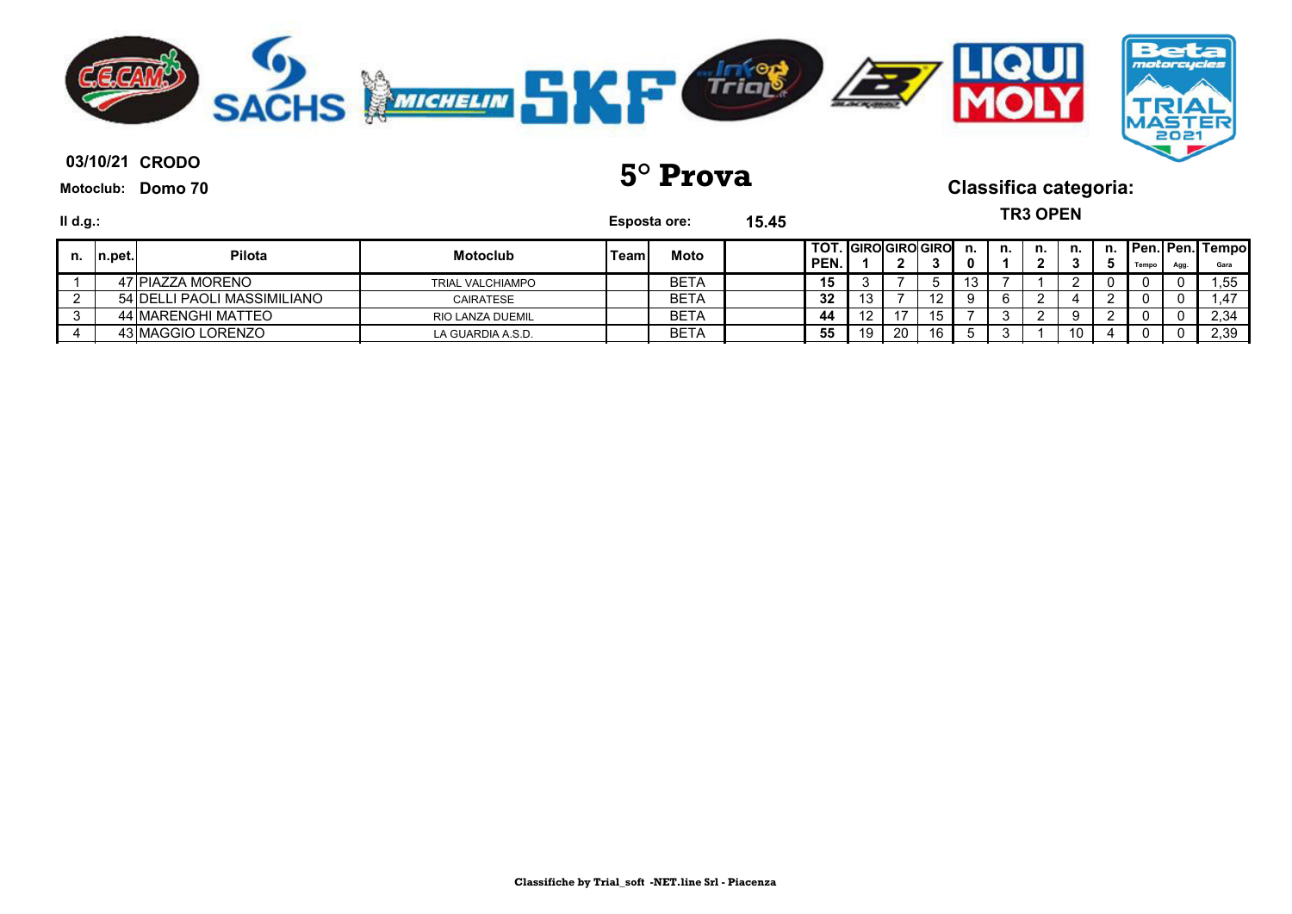

| $II$ d.g.: |         |                             |                         | <b>Esposta ore:</b> |             | 15.45 |                             |    |    |     |         |    | <b>TR3 OPEN</b> |     |       |      |                                 |
|------------|---------|-----------------------------|-------------------------|---------------------|-------------|-------|-----------------------------|----|----|-----|---------|----|-----------------|-----|-------|------|---------------------------------|
| n.         | In.pet. | <b>Pilota</b>               | <b>Motoclub</b>         | Teaml               | Moto        |       | TOT. GIRO GIRO GIRO<br>PEN. |    |    |     | n.<br>o | n. | n.              | n.  | Tempo | Agg. | <b>Pen. Pen. Tempol</b><br>Gara |
|            |         | 47 PIAZZA MORENO            | <b>TRIAL VALCHIAMPO</b> |                     | <b>BETA</b> |       | 15                          |    |    |     | 13      |    |                 |     |       |      | .55                             |
|            |         | 54 DELLI PAOLI MASSIMILIANO | CAIRATESE               |                     | <b>BETA</b> |       | 32                          |    |    | 12. |         |    |                 |     |       |      |                                 |
|            |         | 44 MARENGHI MATTEO          | <b>RIO LANZA DUEMIL</b> |                     | <b>BETA</b> |       | 44                          |    |    | 15  |         |    |                 |     |       |      | 2,34                            |
|            |         | 43 MAGGIO LORENZO           | LA GUARDIA A.S.D.       |                     | BETA        |       | 55                          | 19 | 20 | 16  |         |    |                 | -10 |       |      | 2,39                            |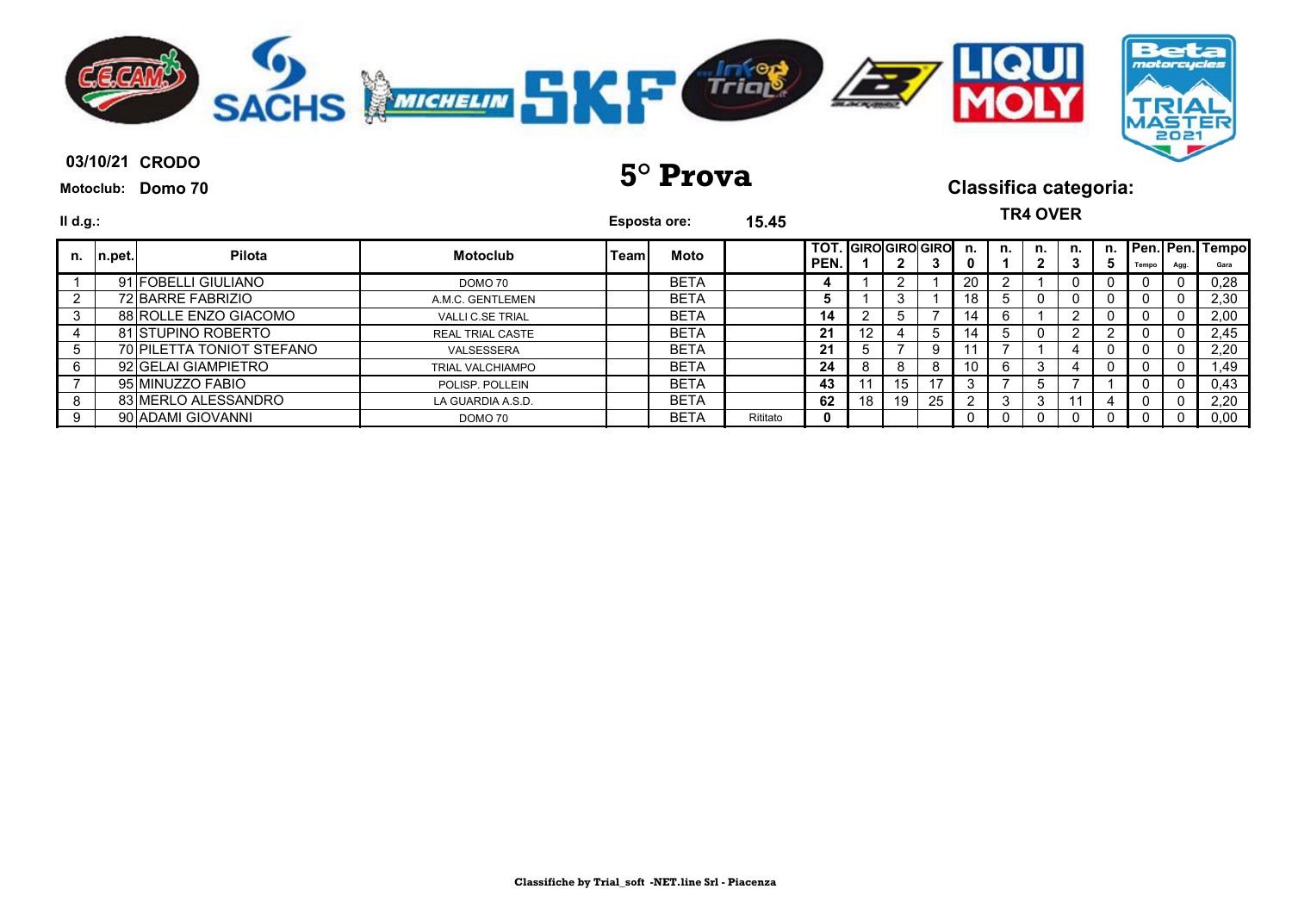

| $II$ d.g.: |        |                           |                         |       | <b>Esposta ore:</b> | 15.45    | <b>TR4 OVER</b><br>TOT. GIROGIROGIRO n. |     |    |    |    |     |         |    |   |       |      |                            |
|------------|--------|---------------------------|-------------------------|-------|---------------------|----------|-----------------------------------------|-----|----|----|----|-----|---------|----|---|-------|------|----------------------------|
| n.         | n.pet. | Pilota                    | <b>Motoclub</b>         | Teaml | Moto                |          | PEN.                                    |     |    | 3  | o  | n.  | n.<br>∍ | n. | 5 | Tempo | Agg. | n. Pen. Pen. Tempo<br>Gara |
|            |        | 91 FOBELLI GIULIANO       | DOMO 70                 |       | <b>BETA</b>         |          |                                         |     |    |    | 20 |     |         |    | U |       |      | 0,28                       |
|            |        | 72 BARRE FABRIZIO         | A.M.C. GENTLEMEN        |       | <b>BETA</b>         |          |                                         |     |    |    | 18 | 5   |         |    |   |       |      | 2,30                       |
|            |        | 88 ROLLE ENZO GIACOMO     | <b>VALLI C.SE TRIAL</b> |       | <b>BETA</b>         |          | 14                                      |     |    |    | 14 |     |         |    |   |       |      | 2,00                       |
|            |        | 81 STUPINO ROBERTO        | <b>REAL TRIAL CASTE</b> |       | <b>BETA</b>         |          | 21                                      | '2' |    | 5  | 14 | . b |         |    |   |       |      | 2,45                       |
|            |        | 70 PILETTA TONIOT STEFANO | VALSESSERA              |       | <b>BETA</b>         |          | 21                                      |     |    | 9  |    |     |         | 4  | 0 |       |      | 2,20                       |
|            |        | 92 GELAI GIAMPIETRO       | <b>TRIAL VALCHIAMPO</b> |       | <b>BETA</b>         |          | 24                                      |     | ŏ  | 8  | 10 | 6   | 3       |    | 0 | U     |      | .49                        |
|            |        | 95 MINUZZO FABIO          | POLISP, POLLEIN         |       | <b>BETA</b>         |          | 43                                      |     | 15 |    |    |     | 5       |    |   | Ü     |      | 0,43                       |
|            |        | 83 MERLO ALESSANDRO       | LA GUARDIA A.S.D.       |       | <b>BETA</b>         |          | 62                                      | 18  | 19 | 25 |    | -3  | 3       |    |   |       |      | 2,20                       |
|            |        | 90 ADAMI GIOVANNI         | DOMO 70                 |       | <b>BETA</b>         | Rititato |                                         |     |    |    | 0  |     |         |    |   |       |      | 0,00                       |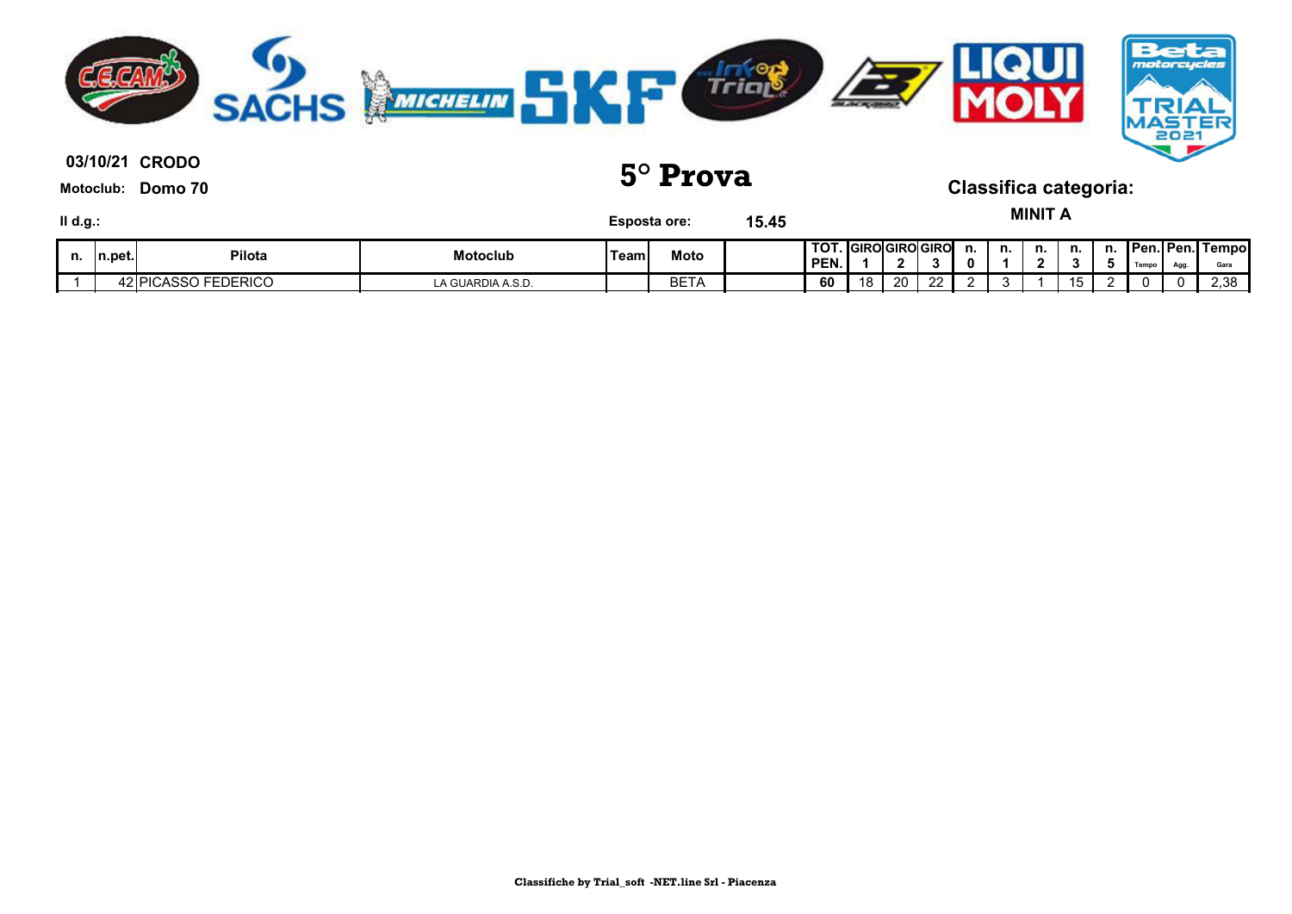

**03/10/21 5° Prova Classifica categoria:**

| $II$ d.g.: |         |                     |                   |       | Esposta ore: | 15.45 |                                         |    |    |          |    |    | <b>MINIT</b>               |    |    |       |      |                                |
|------------|---------|---------------------|-------------------|-------|--------------|-------|-----------------------------------------|----|----|----------|----|----|----------------------------|----|----|-------|------|--------------------------------|
| n.         | In.pet. | Pilota              | Motoclub          | 'Team | Moto         |       | <b>TOT. GIROGIROGIRO</b><br><b>PEN.</b> |    |    |          | n. | n. | n.<br>$\ddot{\phantom{m}}$ | n. | n. | Tempo | Agg. | <b>Pen. Pen. Tempo</b><br>Gara |
|            |         | 42 PICASSO FEDERICO | LA GUARDIA A.S.D. |       | BETA         |       | 60                                      | 18 | 20 | ററ<br>∠∠ |    |    |                            | 15 |    |       |      | 2,38                           |

**Classifiche by Trial\_soft -NET.line Srl - Piacenza**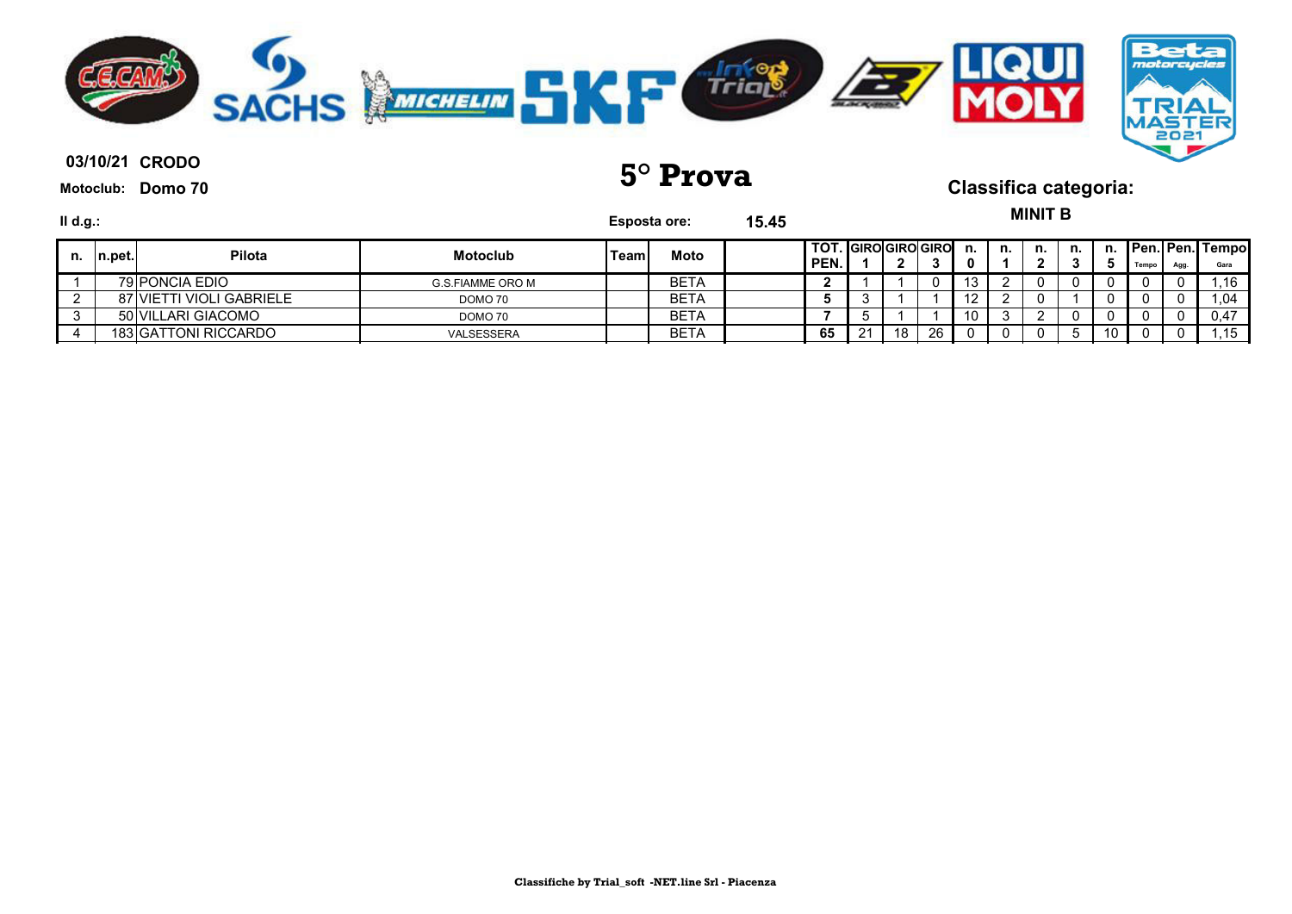

**03/10/21 5° Prova Classifica categoria:**

 $\mathbf{M}$ 

| II d.g.: |         |                             |                  | Esposta ore: |             | 15.45 |                                  |     |    |     |    | MINIT B |    |                 |       |      |                         |
|----------|---------|-----------------------------|------------------|--------------|-------------|-------|----------------------------------|-----|----|-----|----|---------|----|-----------------|-------|------|-------------------------|
| n.       | In.pet. | <b>Pilota</b>               | <b>Motoclub</b>  | 'Team        | Moto        |       | I TOT. IGIROIGIROIGIROI<br>'PEN. | - 2 |    | n.  | n. | n.      | n. | n.              | Tempo | Agg. | Pen. Pen. Tempo<br>Gara |
|          |         | 79 PONCIA EDIO              | G.S.FIAMME ORO M |              | <b>BETA</b> |       |                                  |     |    | ∣ ບ |    |         |    | O               |       |      | .16                     |
|          |         | 87 VIETTI VIOLI GABRIELE    | DOMO 70          |              | <b>BETA</b> |       |                                  |     |    |     |    |         |    | 0               |       |      | .04                     |
|          |         | 50 VILLARI GIACOMO          | DOMO 70          |              | <b>BETA</b> |       |                                  |     |    | 10  |    |         |    | 0               |       |      | 0,47                    |
|          |         | <b>183 GATTONI RICCARDO</b> | VALSESSERA       |              | <b>BETA</b> |       | 65                               | 18  | 26 |     |    |         |    | 10 <sup>1</sup> |       |      | .15                     |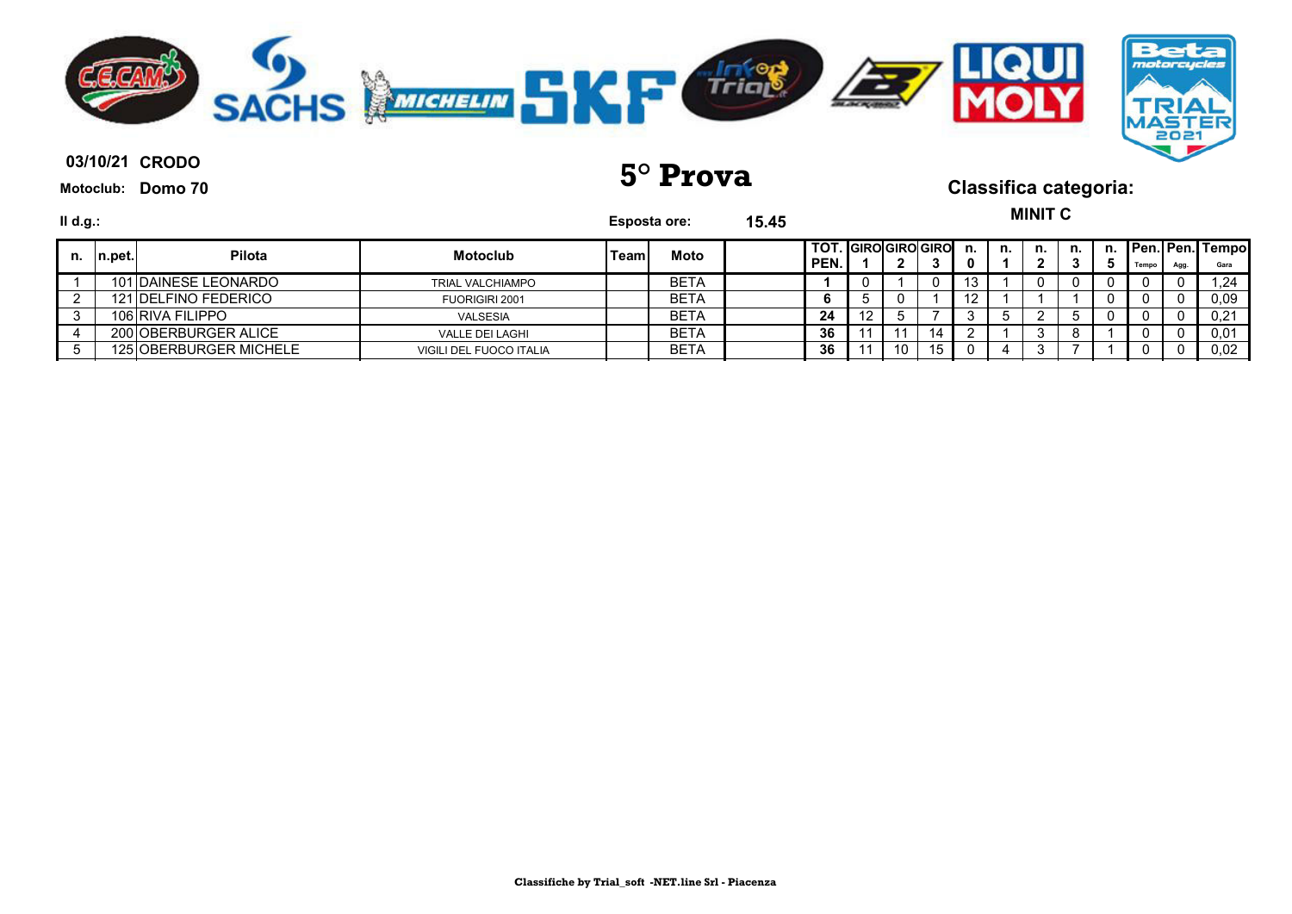

**03/10/21 5° Prova Classifica categoria:**

**MINIT C**

| $II$ d.g.: |         |                        |                         | Esposta ore: |      | 15.45 |                                |    |    |    |     |    | MINI V |    |       |      |                         |
|------------|---------|------------------------|-------------------------|--------------|------|-------|--------------------------------|----|----|----|-----|----|--------|----|-------|------|-------------------------|
| n.         | In.pet. | <b>Pilota</b>          | <b>Motoclub</b>         | Team.        | Moto |       | I TOT. IGIROIGIROIGIRO<br>PEN. |    |    |    | n.  | n. | n.     | n. | Tempo | Agg. | Pen. Pen. Tempo<br>Gara |
|            |         | 101 DAINESE LEONARDO   | <b>TRIAL VALCHIAMPO</b> |              | BETA |       |                                |    |    | 0  | د ا |    |        |    |       |      | 1,24                    |
|            |         | 121 DELFINO FEDERICO   | FUORIGIRI 2001          |              | BETA |       | 6                              |    |    |    | 12  |    |        |    |       |      | 0,09                    |
|            |         | 106 RIVA FILIPPO       | <b>VALSESIA</b>         |              | BETA |       | 24                             | 12 |    |    |     |    |        |    |       |      | 0,21                    |
|            |         | 200 OBERBURGER ALICE   | <b>VALLE DEI LAGHI</b>  |              | BETA |       | 36                             |    |    | 14 |     |    |        |    |       |      | 0,01                    |
|            |         | 125 OBERBURGER MICHELE | VIGILI DEL FUOCO ITALIA |              | BETA |       | 36                             |    | 10 | 15 |     |    |        |    |       |      | 0,02                    |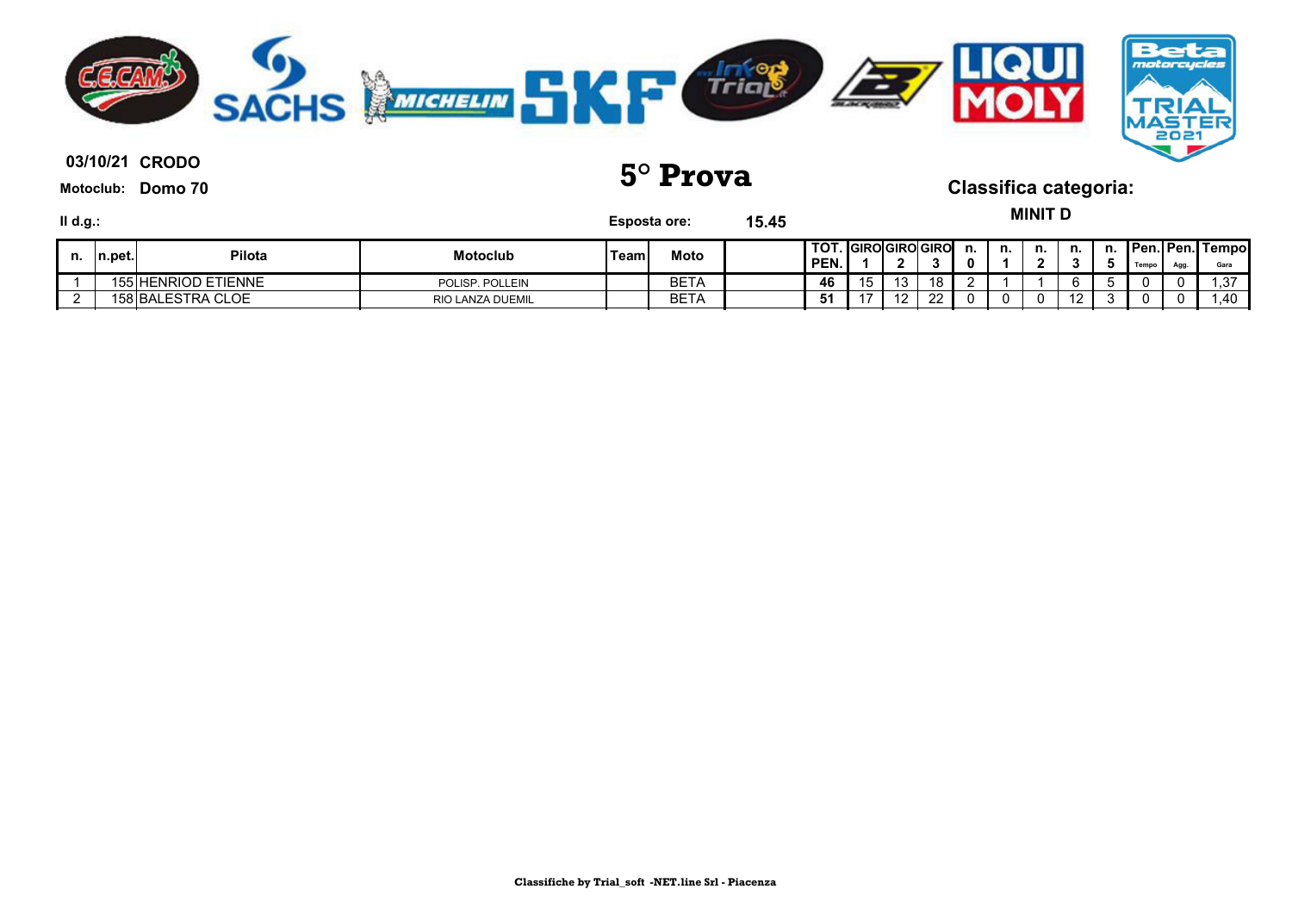

03/10/21 CRODO

**Motoclub: Domo 70**

**03/10/21 5° Prova Classifica categoria:**

**MINIT D**

| II d.g.: |         |                     |                         | <b>Esposta ore:</b> |             | 15.45 |                                      |            |     |    |    | MINII D |                      |    |       |      |                                |
|----------|---------|---------------------|-------------------------|---------------------|-------------|-------|--------------------------------------|------------|-----|----|----|---------|----------------------|----|-------|------|--------------------------------|
| n.       | In.pet. | <b>Pilota</b>       | <b>Motoclub</b>         | 'Team               | Moto        |       | <b>TOT. IGIROIGIROIGIRO</b><br>'PEN. | ◠          |     | n. | n. | n.      | n.                   | n. | Tempo | Agg. | <b>Pen. Pen. Tempo</b><br>Gara |
|          |         | 155 HENRIOD ETIENNE | POLISP, POLLEIN         |                     | <b>BETA</b> |       | 46                                   | 13         | 18  |    |    |         | 6                    |    |       |      | -27<br>ن.                      |
|          |         | 158 BALESTRA CLOE   | <b>RIO LANZA DUEMIL</b> |                     | <b>BETA</b> |       | 51                                   | $\sqrt{2}$ | ົດດ |    |    |         | $\overline{A}$<br>L. |    |       | v    | .40                            |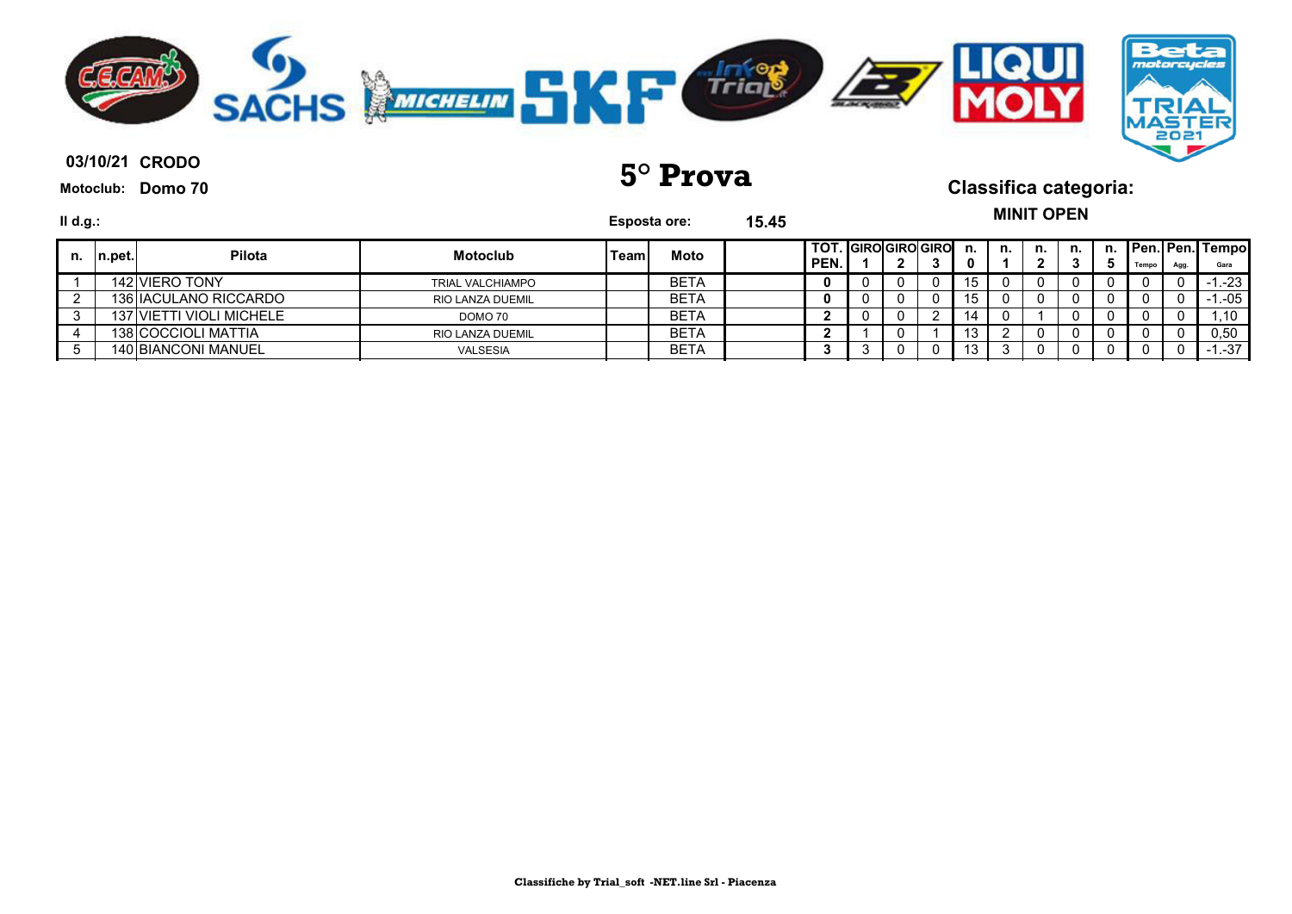

**03/10/21 5° Prova Classifica categoria:**

| II d.g.: |         |                          |                         | <b>Esposta ore:</b> |             | 15.45 |                             |   |     |    | <b>MINIT OPEN</b> |    |    |       |      |                                |
|----------|---------|--------------------------|-------------------------|---------------------|-------------|-------|-----------------------------|---|-----|----|-------------------|----|----|-------|------|--------------------------------|
| n.       | ∣n.pet. | <b>Pilota</b>            | <b>Motoclub</b>         | <b>Team</b>         | Moto        |       | TOT. GIRO GIRO GIRO<br>PEN. | ີ | n.  | n. | n.                | n. | n. | Tempo | Agg. | <b>Pen. Pen. Tempo</b><br>Gara |
|          |         | 142 VIERO TONY           | <b>TRIAL VALCHIAMPO</b> |                     | <b>BETA</b> |       |                             |   | 15  |    |                   |    |    | 0     |      | $-1. -23$                      |
|          |         | 136 IACULANO RICCARDO    | RIO LANZA DUEMIL        |                     | <b>BETA</b> |       |                             |   | 15. |    |                   |    |    | U     |      | $-1 - 05$                      |
|          |         | 137 VIETTI VIOLI MICHELE | DOMO 70                 |                     | <b>BETA</b> |       |                             |   | 14  |    |                   |    |    | 0     |      | .10                            |
|          |         | 138 COCCIOLI MATTIA      | RIO LANZA DUEMIL        |                     | <b>BETA</b> |       |                             |   | 13  |    |                   |    |    |       |      | 0,50                           |
|          |         | 140 BIANCONI MANUEL      | VALSESIA                |                     | <b>BETA</b> |       |                             |   | J   |    |                   |    |    | U     |      | $-1. -37$                      |

**Classifiche by Trial\_soft -NET.line Srl - Piacenza**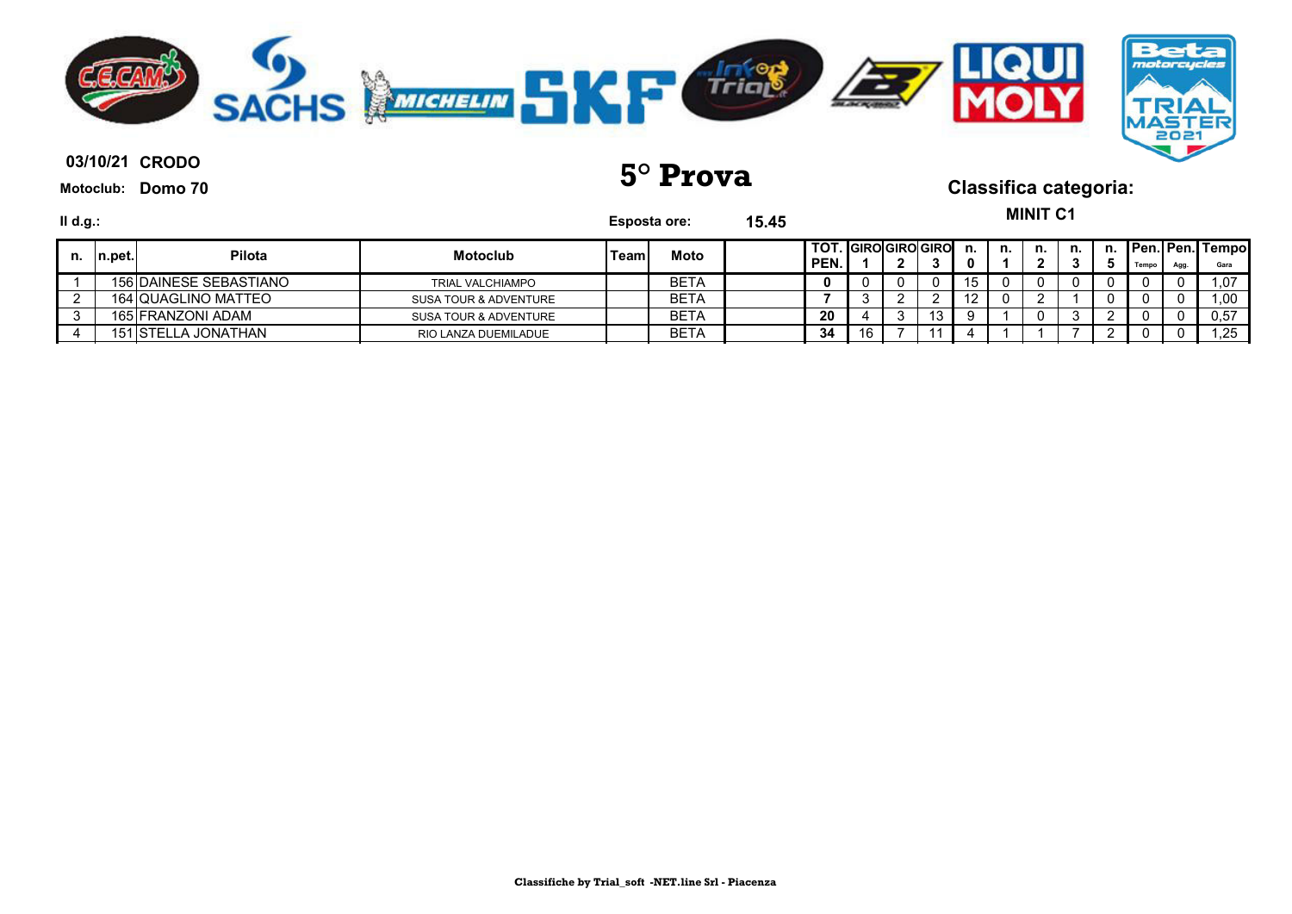

| Ⅱ d.g.: |         |                        |                         | <b>Esposta ore:</b> |             | 15.45 |                                           |   |          |    |    | <b>MINIT C1</b> |    |    |       |      |                                 |
|---------|---------|------------------------|-------------------------|---------------------|-------------|-------|-------------------------------------------|---|----------|----|----|-----------------|----|----|-------|------|---------------------------------|
| n.      | In.pet. | <b>Pilota</b>          | <b>Motoclub</b>         | Team.               | Moto        |       | <b>TOT. IGIROIGIROIGIRO</b><br><b>PEN</b> |   |          | n. | n. | n.              | n. | n. | Tempo | Agg. | <b>Pen. Pen. Tempol</b><br>Gara |
|         |         | 156 DAINESE SEBASTIANO | <b>TRIAL VALCHIAMPO</b> |                     | <b>BETA</b> |       |                                           |   | 0        | 15 |    |                 |    |    |       |      | 1,07                            |
|         |         | 164 QUAGLINO MATTEO    | SUSA TOUR & ADVENTURE   |                     | <b>BETA</b> |       |                                           |   | <u>.</u> |    |    |                 |    |    |       |      | .00                             |
|         |         | 165 FRANZONI ADAM      | SUSA TOUR & ADVENTURE   |                     | <b>BETA</b> |       | 20                                        |   | 13       |    |    |                 |    |    |       |      | 0,57                            |
|         |         | 151 ISTELLA JONATHAN   | RIO LANZA DUEMILADUE    |                     | <b>BETA</b> |       | 34                                        | 6 |          |    |    |                 |    |    |       |      | .25                             |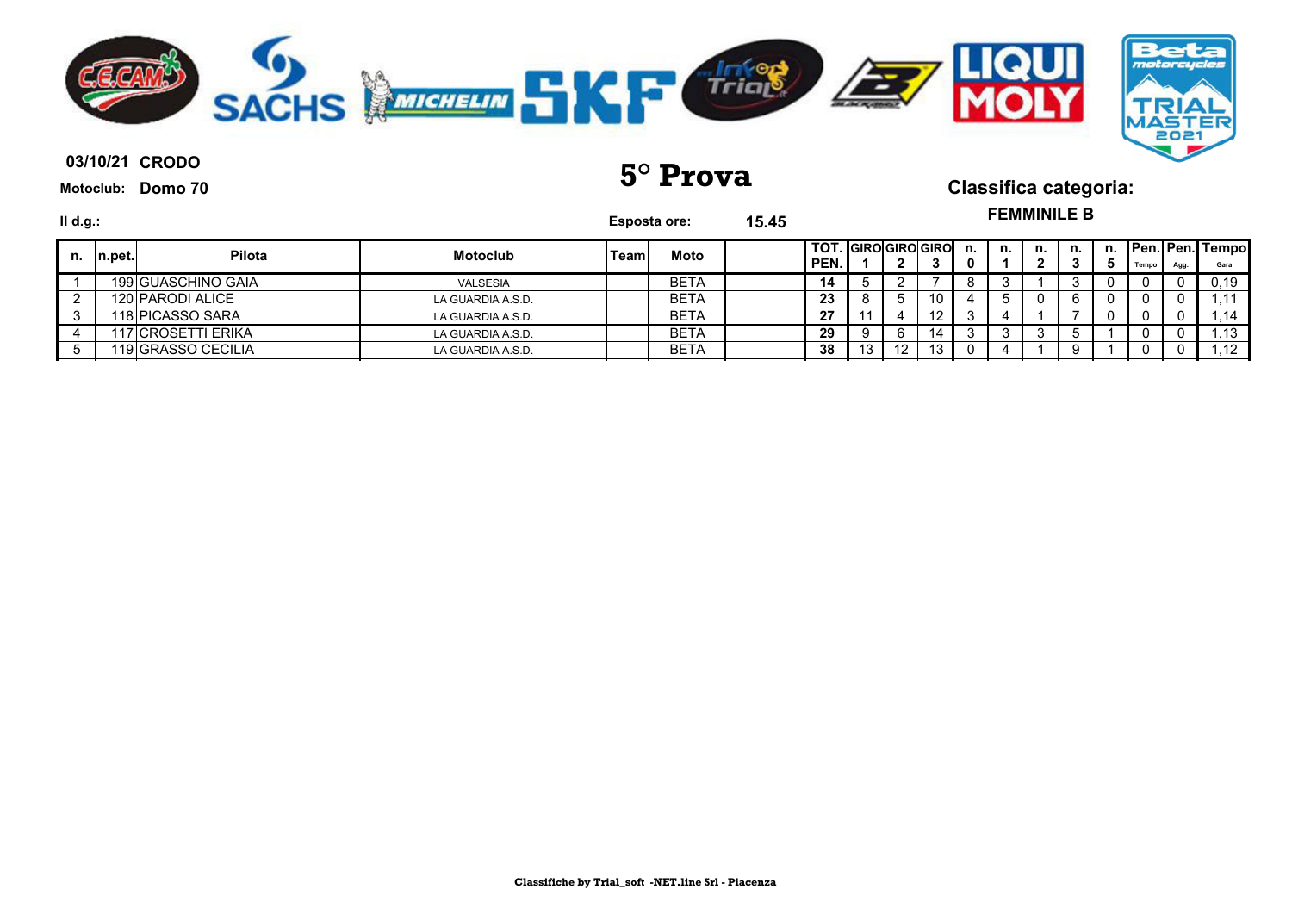

**03/10/21 5° Prova Classifica categoria:**

**FEMMINILE B**

| II d.g.: |         |                    |                   | <b>Esposta ore:</b> |             | 15.45 |                                  |                  |                  |    |    | <b>FEMMINILE B</b> |    |    |       |      |                         |
|----------|---------|--------------------|-------------------|---------------------|-------------|-------|----------------------------------|------------------|------------------|----|----|--------------------|----|----|-------|------|-------------------------|
| n.       | In.pet. | <b>Pilota</b>      | <b>Motoclub</b>   | Teaml               | Moto        |       | <b>TOT. GIROGIROGIRO</b><br>PEN. |                  |                  | n. | n. | n.                 | n. | n. | Tempo | Agg. | Pen. Pen. Tempo<br>Gara |
|          |         | 199 GUASCHINO GAIA | <b>VALSESIA</b>   |                     | <b>BETA</b> |       | 14                               |                  |                  |    |    |                    |    |    | υ     |      | 0.19                    |
|          |         | 120 PARODI ALICE   | LA GUARDIA A.S.D. |                     | <b>BETA</b> |       | 23                               |                  | 10               |    |    |                    | 6  |    |       |      |                         |
|          |         | 118 PICASSO SARA   | LA GUARDIA A.S.D. |                     | BETA        |       | 27                               |                  | 12 <sup>12</sup> |    |    |                    |    |    |       |      |                         |
|          |         | 117 CROSETTI ERIKA | LA GUARDIA A.S.D. |                     | <b>BETA</b> |       | 29                               |                  | 14               |    |    |                    |    |    |       |      | .13                     |
|          |         | 119 GRASSO CECILIA | LA GUARDIA A.S.D. |                     | <b>BETA</b> |       | 38                               | 12 <sup>12</sup> | 13               |    |    |                    | 9  |    | υ     |      | .12                     |

**Classifiche by Trial\_soft -NET.line Srl - Piacenza**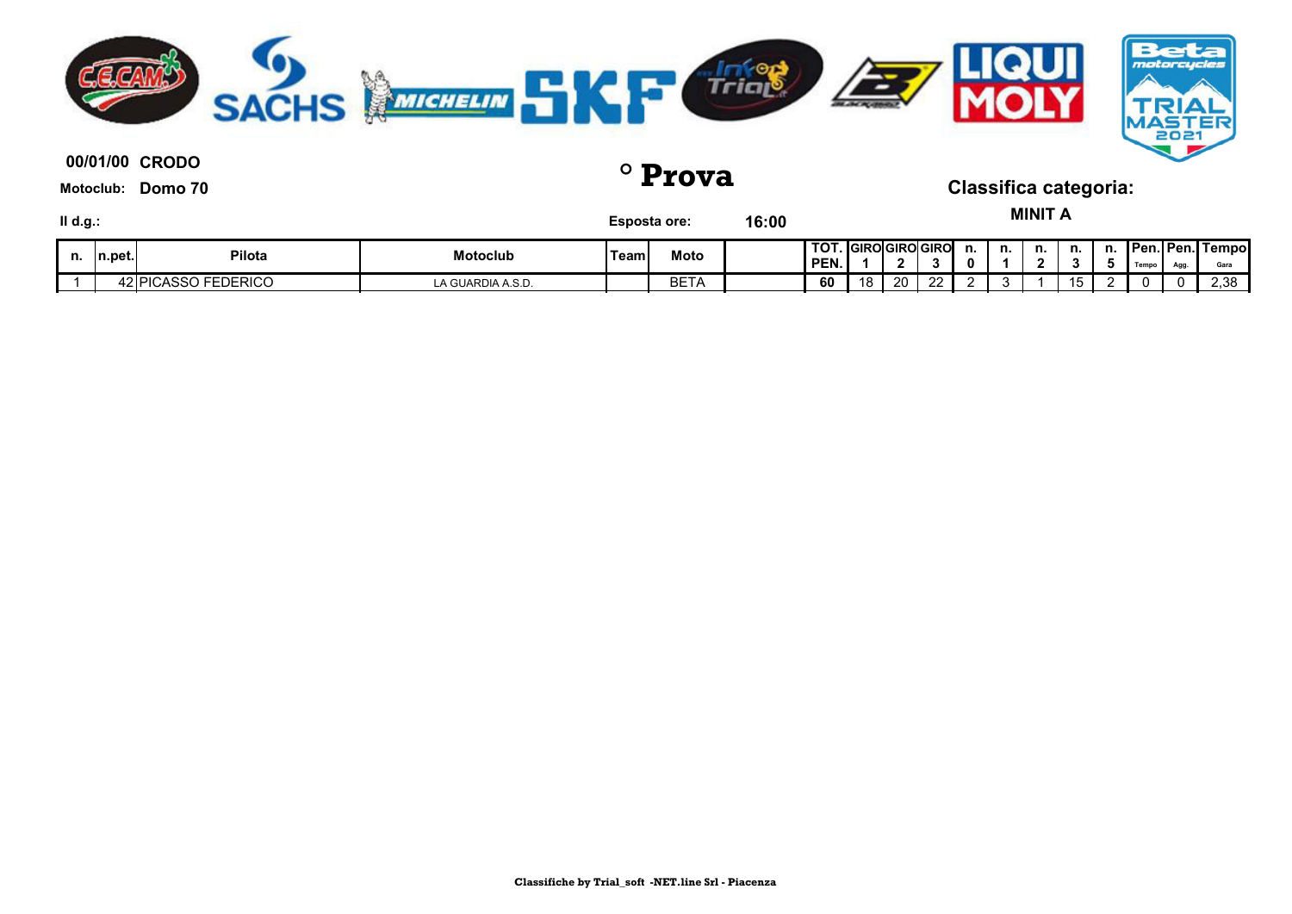

**00/01/00 ° Prova Classifica categoria:**

**Motoclub: Domo 70**

**MINIT A**

| II d.g.: |         |                     |                   | <b>Esposta ore:</b> |                | 16:00 |              |                   |    |             |    |    | <b>MINIT</b> |    |    |       |      |                                 |
|----------|---------|---------------------|-------------------|---------------------|----------------|-------|--------------|-------------------|----|-------------|----|----|--------------|----|----|-------|------|---------------------------------|
| n.       | In.pet. | Pilota              | <b>Motoclub</b>   | Team.               | Moto           |       | TOT.<br>PEN. | . IGIROIGIROIGIRO |    |             | n. | n. | n.           | n. | n. | Tempo | Agg. | <b>Pen. Pen. Tempol</b><br>Gara |
|          |         | 42 PICASSO FEDERICO | LA GUARDIA A.S.D. |                     | ---<br>۱۳ - ۱۳ |       | 60           | 18                | 20 | $\sim$<br>ے |    |    |              |    |    |       | 0.   | 2,38                            |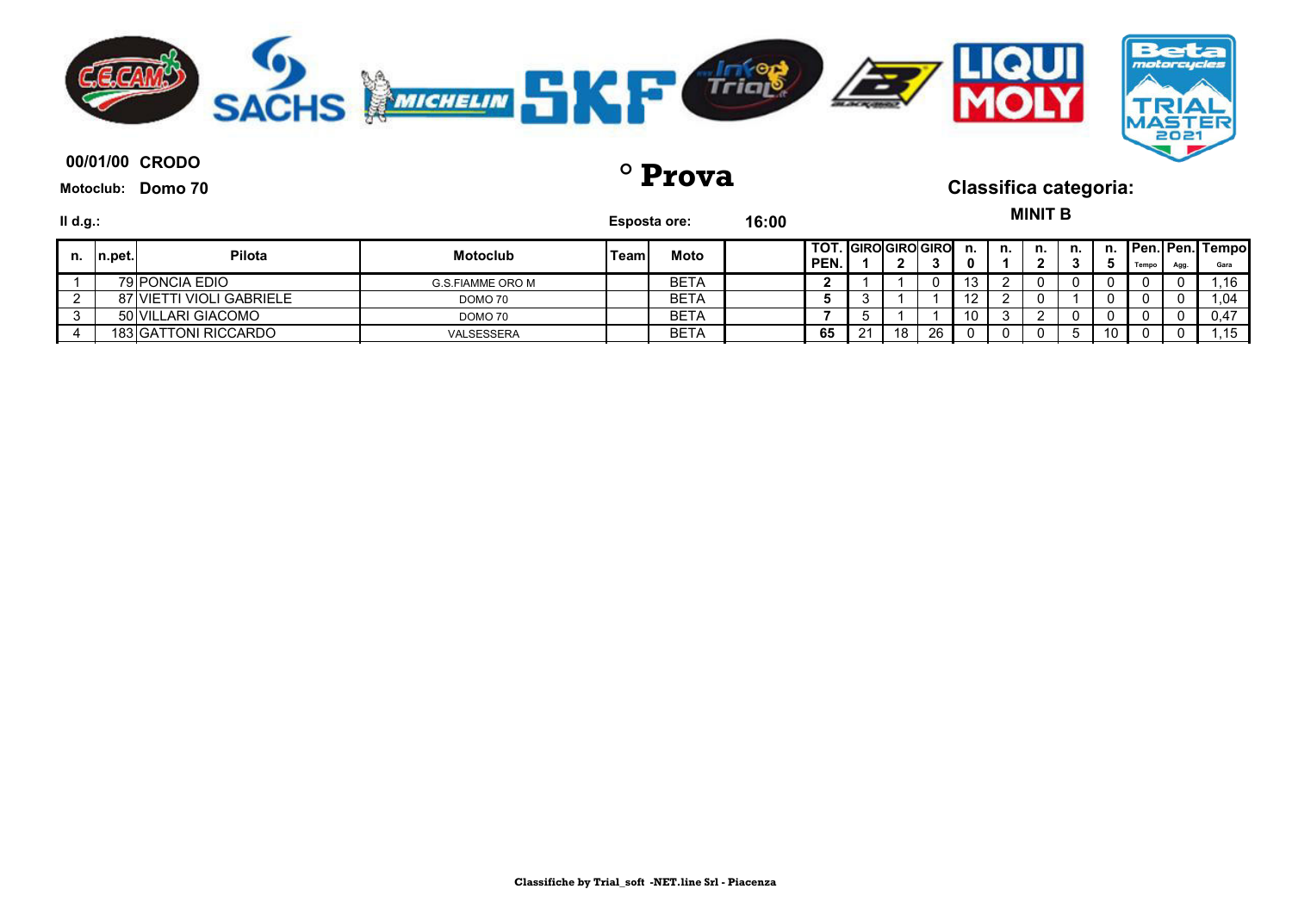

**00/01/00 ° Prova Classifica categoria:**

**Motoclub: Domo 70**

 $M1117B$ 

| II d.g.: |         |                          |                  |      | <b>Esposta ore:</b> | 16:00 |                                              |     |              |    |        |    | MINII B |    |    |            |            |                                  |
|----------|---------|--------------------------|------------------|------|---------------------|-------|----------------------------------------------|-----|--------------|----|--------|----|---------|----|----|------------|------------|----------------------------------|
| n.       | ∣n.pet. | Pilota                   | <b>Motoclub</b>  | Team | Moto                |       | <b>I TOT. IGIROIGIROIGIRO</b><br><b>PEN.</b> |     | $\mathbf{r}$ |    | n.     | n. | n.      | n. | n. | Tempo      | <b>Agg</b> | <b>Pen. Pen. Tempoll</b><br>Gara |
|          |         | 79 PONCIA EDIO           | G.S.FIAMME ORO M |      | BETA                |       | -                                            |     |              |    | ن ا    |    |         |    |    |            |            | .16                              |
|          |         | 87 VIETTI VIOLI GABRIELE | DOMO 70          |      | BETA                |       |                                              |     |              |    | $\sim$ |    |         |    |    |            |            | .04                              |
|          |         | 50 VILLARI GIACOMO       | DOMO 70          |      | BETA                |       |                                              |     |              |    | 10     |    |         |    |    |            |            | 0.47                             |
|          |         | 183 GATTONI RICCARDO     | VALSESSERA       |      | BETA                |       | 65                                           | 21. | 18           | 26 |        |    |         |    | 10 | $^{\circ}$ |            | .15                              |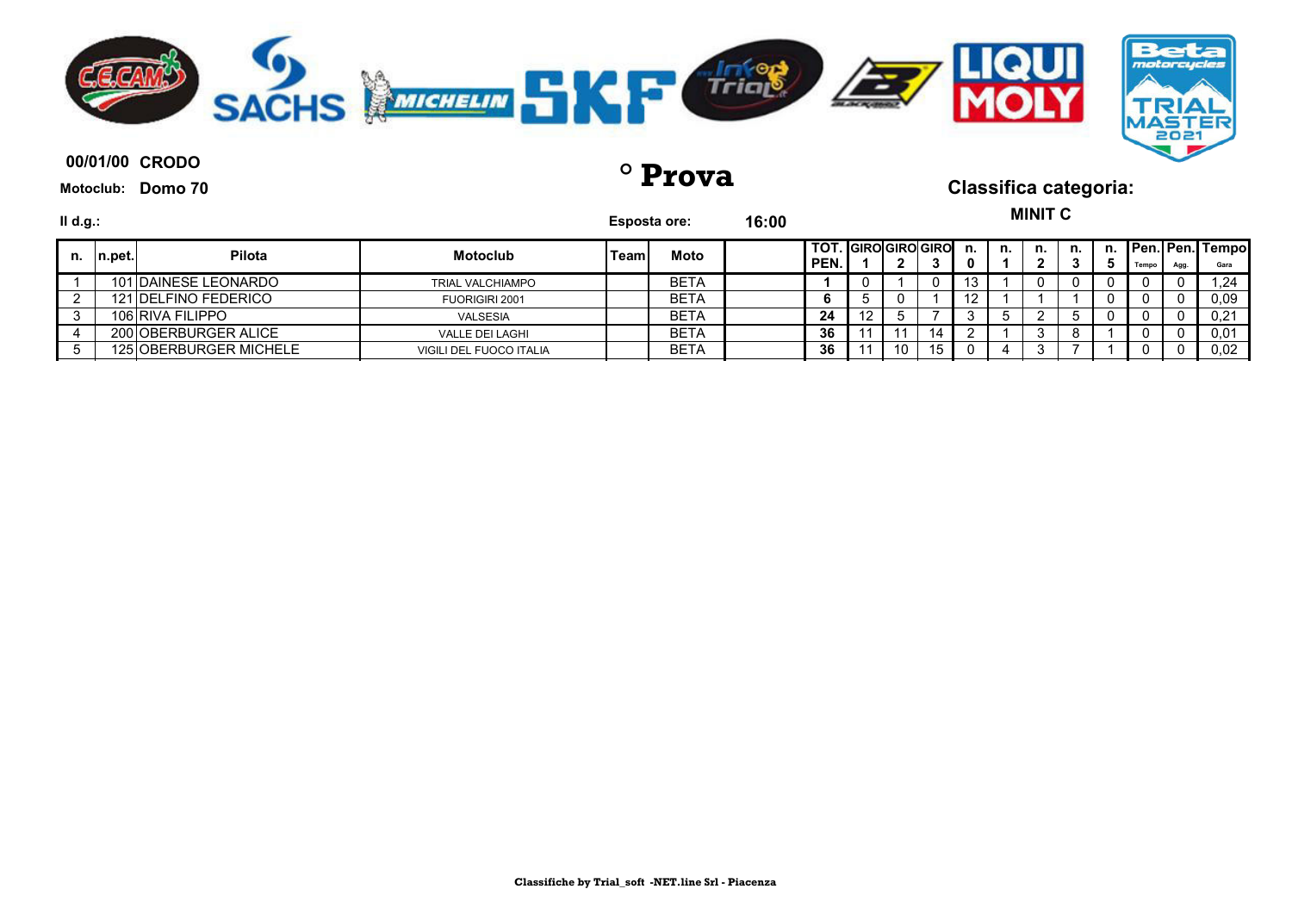

**00/01/00 ° Prova Classifica categoria:**

**Motoclub: Domo 70**

**MINIT C**

| II d.g.: |        |                        |                         |       | Esposta ore: | 16:00 |                             |    |    |    |    | UUU VIIV |    |       |      |                                |
|----------|--------|------------------------|-------------------------|-------|--------------|-------|-----------------------------|----|----|----|----|----------|----|-------|------|--------------------------------|
| n.       | n.pet. | <b>Pilota</b>          | <b>Motoclub</b>         | Teaml | Moto         |       | TOT. GIRO GIRO GIRO<br>PEN. |    |    | n. | n. | n.       | n. | Tempo | Agg. | <b>Pen. Pen. Tempo</b><br>Gara |
|          |        | 101 DAINESE LEONARDO   | <b>TRIAL VALCHIAMPO</b> |       | <b>BETA</b>  |       |                             |    | 0  | 13 |    |          |    |       |      | 1.24                           |
|          |        | 121 DELFINO FEDERICO   | FUORIGIRI 2001          |       | BETA         |       |                             |    |    | 12 |    |          |    |       |      | 0.09                           |
|          |        | 106 RIVA FILIPPO       | VALSESIA                |       | BETA         |       | 24                          |    |    |    |    |          |    |       |      | 0.21                           |
|          |        | 200 OBERBURGER ALICE   | VALLE DEI LAGHI         |       | BETA         |       | 36                          |    |    |    |    |          |    |       |      | 0,01                           |
|          |        | 125 OBERBURGER MICHELE | VIGILI DEL FUOCO ITALIA |       | <b>BETA</b>  |       | 36                          | 10 | 15 |    |    |          |    |       |      | 0.02                           |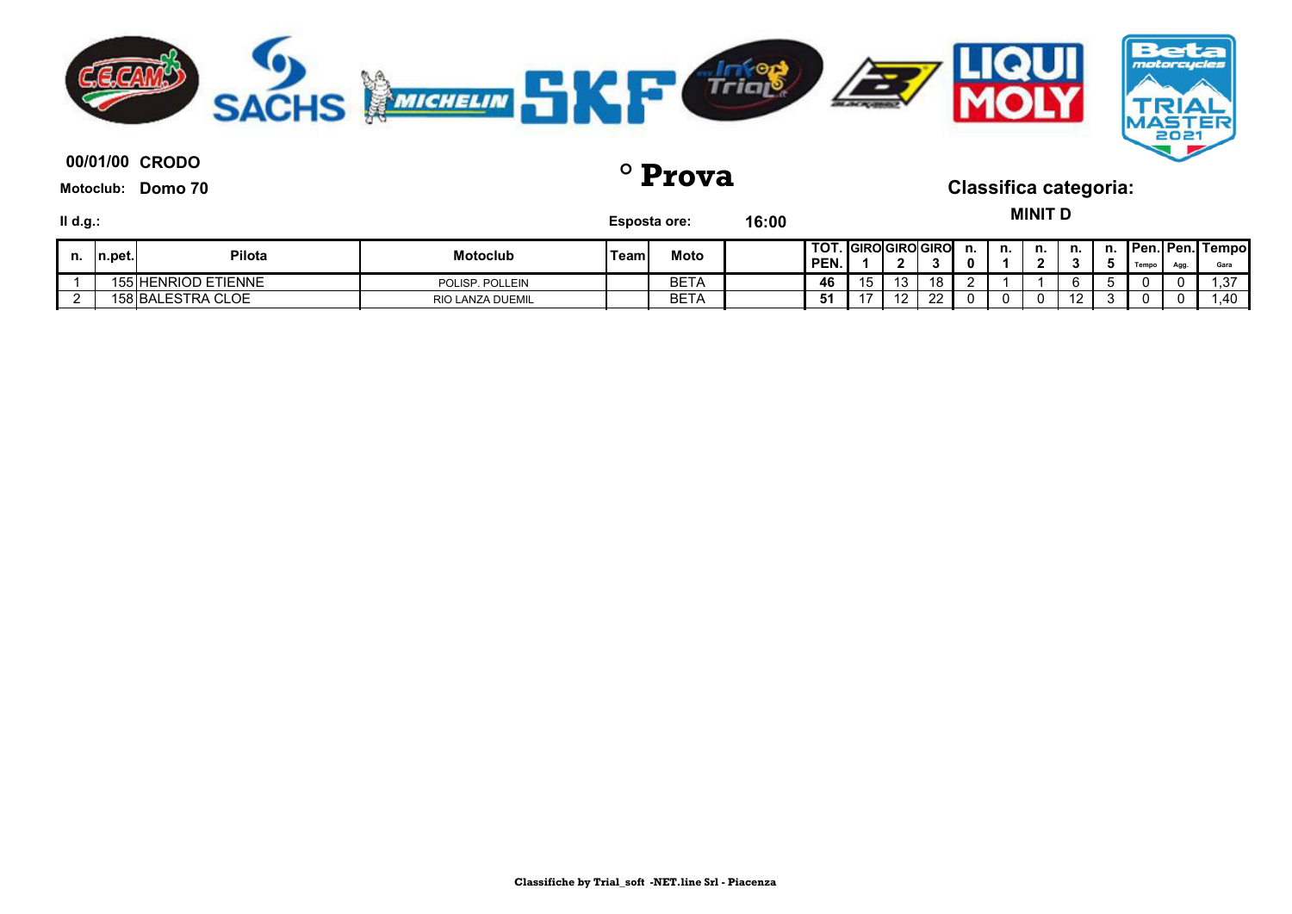

**00/01/00 ° Prova Classifica categoria:**

**Motoclub: Domo 70**

**MINIT D**

| II d.g.: |         |                     |                  | <b>Esposta ore:</b> |             | 16:00 |                                |    |           |    |         |    | MINIL D |            |    |       |     |                                 |
|----------|---------|---------------------|------------------|---------------------|-------------|-------|--------------------------------|----|-----------|----|---------|----|---------|------------|----|-------|-----|---------------------------------|
| n.       | In.pet. | Pilota              | <b>Motoclub</b>  | Team                | Moto        |       | I TOT. IGIROIGIROIGIRO<br>PEN. |    | - 20      |    | n.<br>n | n. | n.      | n.         | n. | Tempo | Agg | <b>Pen. Pen. Tempol</b><br>Gara |
|          |         | 155 HENRIOD ETIENNE | POLISP, POLLEIN  |                     | <b>BETA</b> |       | 46                             | 15 | 12<br>ں ا | 18 |         |    |         |            |    |       |     | -27<br>ں, ا                     |
|          |         | 158 BALESTRA CLOE   | RIO LANZA DUEMIL |                     | <b>BETA</b> |       | 51                             | ᇬ  | - 10      | ാറ |         |    |         | $\epsilon$ |    |       |     | 1.40                            |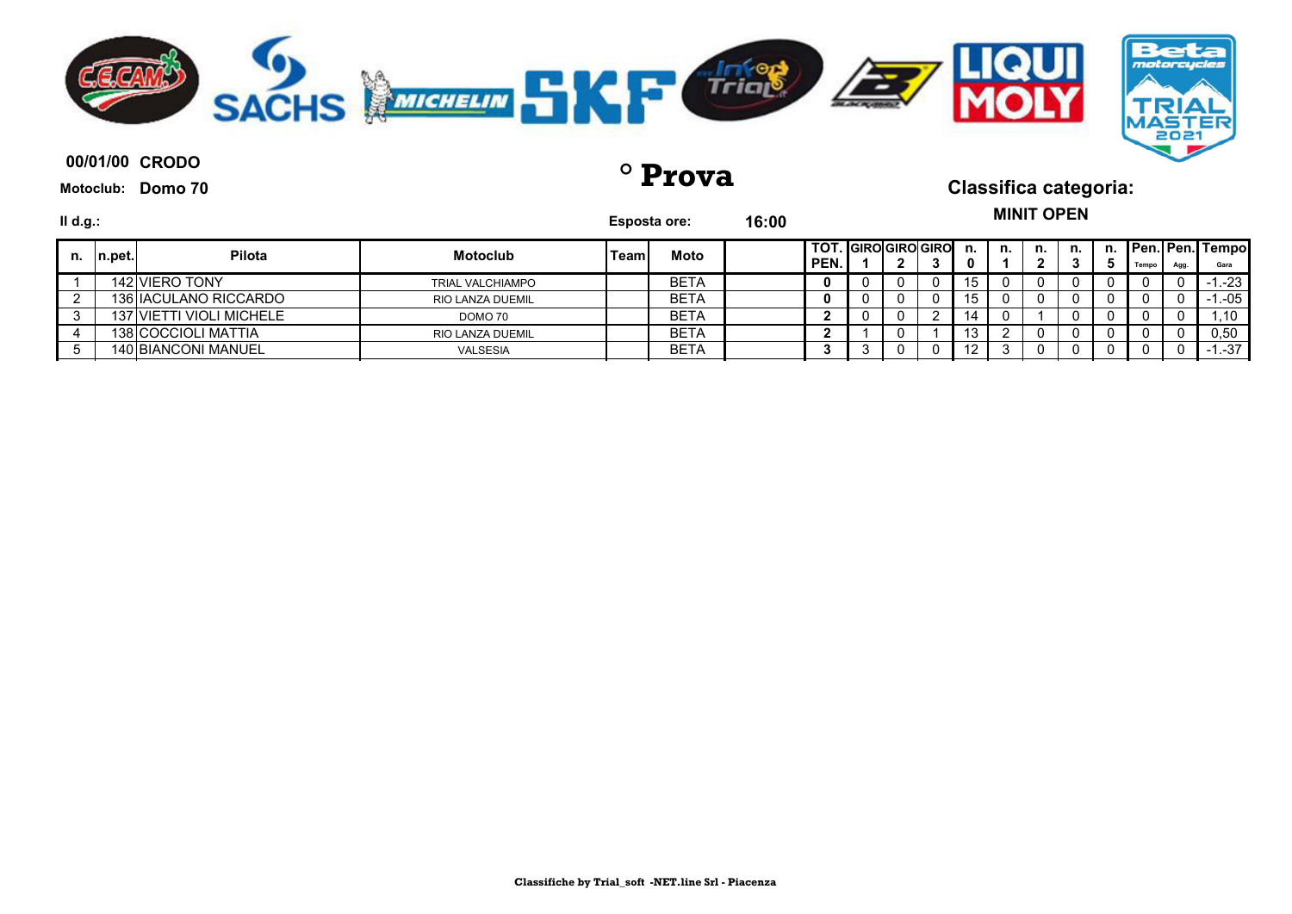

**00/01/00 ° Prova Classifica categoria:**

**Motoclub: Domo 70**

**MINIT OPEN**

| II d.g.: |         |                            |                         | <b>Esposta ore:</b> |             | 16:00 |                                  |  |    |    |    | IIIIIIIII VI LII |    |       |     |                                 |
|----------|---------|----------------------------|-------------------------|---------------------|-------------|-------|----------------------------------|--|----|----|----|------------------|----|-------|-----|---------------------------------|
| n.       | In.pet. | Pilota                     | <b>Motoclub</b>         | Teaml               | Moto        |       | TOT.   GIRO  GIRO  GIRO <br>PEN. |  | J. | n. | n. | n. I             | n. | Tempo | Agg | <b>Pen. Pen. Tempol</b><br>Gara |
|          |         | 142 VIERO TONY             | <b>TRIAL VALCHIAMPO</b> |                     | <b>BETA</b> |       |                                  |  | 0  | 15 |    |                  |    |       |     | $-1.23$                         |
|          |         | 136 IACULANO RICCARDO      | <b>RIO LANZA DUEMIL</b> |                     | <b>BETA</b> |       |                                  |  | 0  | 15 |    |                  |    |       |     | 1.-05                           |
|          |         | 137 VIETTI VIOLI MICHELE   | DOMO 70                 |                     | <b>BETA</b> |       |                                  |  |    | 14 |    |                  |    |       |     | .10                             |
|          |         | 138 COCCIOLI MATTIA        | <b>RIO LANZA DUEMIL</b> |                     | <b>BETA</b> |       |                                  |  |    | 13 |    |                  |    |       |     | 0.50                            |
|          |         | <b>140 BIANCONI MANUEL</b> | <b>VALSESIA</b>         |                     | <b>BETA</b> |       |                                  |  | 0  | 12 |    | $^{(1)}$         |    |       |     | $-1 - 37$                       |
|          |         |                            |                         |                     |             |       |                                  |  |    |    |    |                  |    |       |     |                                 |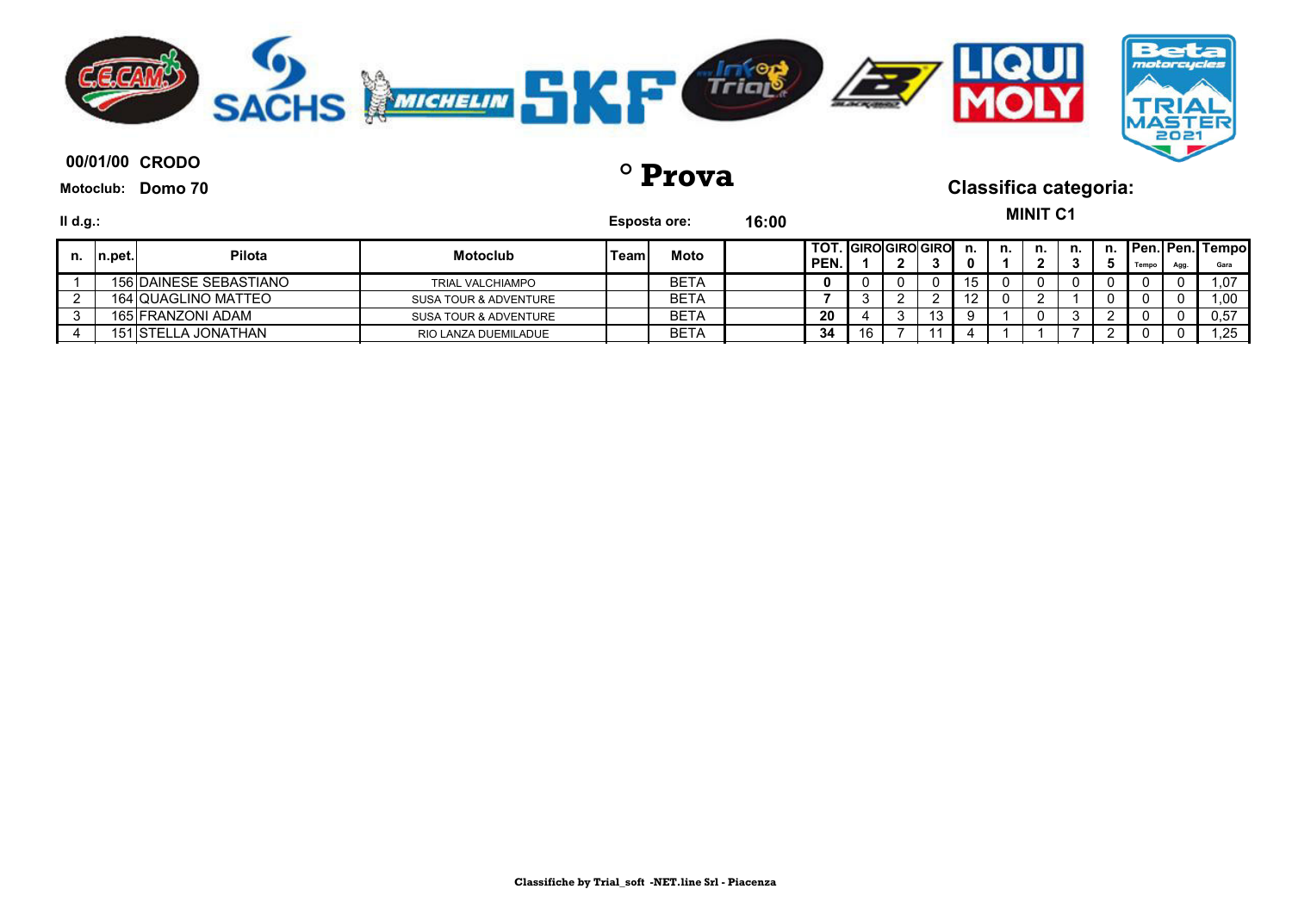

**00/01/00 ° Prova Classifica categoria:**

**Motoclub: Domo 70**

**MINIT C1** 

| II d.g.: |         |                        |                         | <b>Esposta ore:</b> |             | 16:00 |                                 |    |     |     |    | MINII C1 |    |       |      |                                 |
|----------|---------|------------------------|-------------------------|---------------------|-------------|-------|---------------------------------|----|-----|-----|----|----------|----|-------|------|---------------------------------|
| n.       | ∣n.pet. | <b>Pilota</b>          | <b>Motoclub</b>         | Teaml               | Moto        |       | I TOT. IGIROIGIROIGIROI<br>PEN. |    |     | n.  | n. | n.       | n. | Tempo | Agg. | <b>Pen. Pen. Tempol</b><br>Gara |
|          |         | 156 DAINESE SEBASTIANO | <b>TRIAL VALCHIAMPO</b> |                     | <b>BETA</b> |       |                                 |    |     | ∣ ວ |    |          |    |       |      | 1.07                            |
|          |         | 164 QUAGLINO MATTEO    | SUSA TOUR & ADVENTURE   |                     | <b>BETA</b> |       |                                 |    |     | ▵   |    |          |    |       |      | 1,00                            |
|          |         | 165 FRANZONI ADAM      | SUSA TOUR & ADVENTURE   |                     | <b>BETA</b> |       | 20                              |    | ں ו |     |    |          |    | O     |      | 0,57                            |
|          |         | 151 ISTELLA JONATHAN   | RIO LANZA DUEMILADUE    |                     | <b>BETA</b> |       | 34                              | 16 |     |     |    |          |    | 0     |      | .25                             |